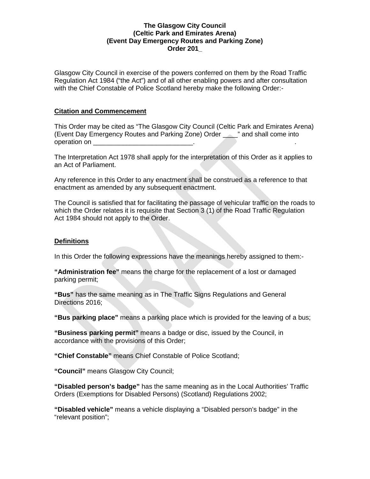Glasgow City Council in exercise of the powers conferred on them by the Road Traffic Regulation Act 1984 ("the Act") and of all other enabling powers and after consultation with the Chief Constable of Police Scotland hereby make the following Order:-

### **Citation and Commencement**

This Order may be cited as "The Glasgow City Council (Celtic Park and Emirates Arena) (Event Day Emergency Routes and Parking Zone) Order \_\_\_\_" and shall come into operation on \_\_\_\_\_\_

The Interpretation Act 1978 shall apply for the interpretation of this Order as it applies to an Act of Parliament.

Any reference in this Order to any enactment shall be construed as a reference to that enactment as amended by any subsequent enactment.

The Council is satisfied that for facilitating the passage of vehicular traffic on the roads to which the Order relates it is requisite that Section 3 (1) of the Road Traffic Regulation Act 1984 should not apply to the Order.

### **Definitions**

In this Order the following expressions have the meanings hereby assigned to them:-

**"Administration fee"** means the charge for the replacement of a lost or damaged parking permit;

**"Bus"** has the same meaning as in The Traffic Signs Regulations and General Directions 2016;

**"Bus parking place"** means a parking place which is provided for the leaving of a bus;

**"Business parking permit"** means a badge or disc, issued by the Council, in accordance with the provisions of this Order;

**"Chief Constable"** means Chief Constable of Police Scotland;

**"Council"** means Glasgow City Council;

**"Disabled person's badge"** has the same meaning as in the Local Authorities' Traffic Orders (Exemptions for Disabled Persons) (Scotland) Regulations 2002;

**"Disabled vehicle"** means a vehicle displaying a "Disabled person's badge" in the "relevant position";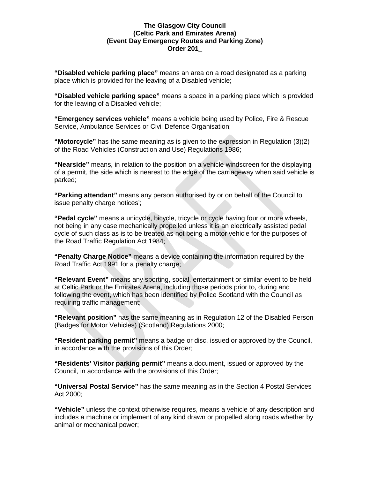**"Disabled vehicle parking place"** means an area on a road designated as a parking place which is provided for the leaving of a Disabled vehicle;

**"Disabled vehicle parking space"** means a space in a parking place which is provided for the leaving of a Disabled vehicle;

**"Emergency services vehicle"** means a vehicle being used by Police, Fire & Rescue Service, Ambulance Services or Civil Defence Organisation;

**"Motorcycle"** has the same meaning as is given to the expression in Regulation (3)(2) of the Road Vehicles (Construction and Use) Regulations 1986;

**"Nearside"** means, in relation to the position on a vehicle windscreen for the displaying of a permit, the side which is nearest to the edge of the carriageway when said vehicle is parked;

**"Parking attendant"** means any person authorised by or on behalf of the Council to issue penalty charge notices';

**"Pedal cycle"** means a unicycle, bicycle, tricycle or cycle having four or more wheels, not being in any case mechanically propelled unless it is an electrically assisted pedal cycle of such class as is to be treated as not being a motor vehicle for the purposes of the Road Traffic Regulation Act 1984;

**"Penalty Charge Notice"** means a device containing the information required by the Road Traffic Act 1991 for a penalty charge;

**"Relevant Event"** means any sporting, social, entertainment or similar event to be held at Celtic Park or the Emirates Arena, including those periods prior to, during and following the event, which has been identified by Police Scotland with the Council as requiring traffic management;

**"Relevant position"** has the same meaning as in Regulation 12 of the Disabled Person (Badges for Motor Vehicles) (Scotland) Regulations 2000;

**"Resident parking permit"** means a badge or disc, issued or approved by the Council, in accordance with the provisions of this Order;

**"Residents' Visitor parking permit"** means a document, issued or approved by the Council, in accordance with the provisions of this Order;

**"Universal Postal Service"** has the same meaning as in the Section 4 Postal Services Act 2000;

**"Vehicle"** unless the context otherwise requires, means a vehicle of any description and includes a machine or implement of any kind drawn or propelled along roads whether by animal or mechanical power;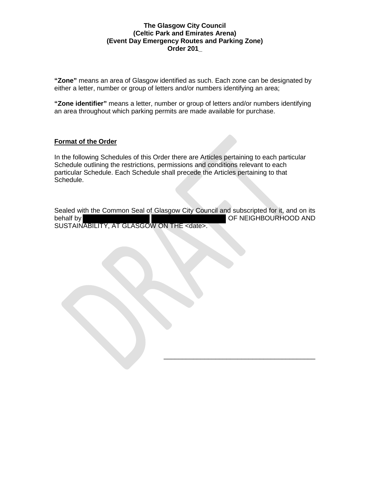**"Zone"** means an area of Glasgow identified as such. Each zone can be designated by either a letter, number or group of letters and/or numbers identifying an area;

**"Zone identifier"** means a letter, number or group of letters and/or numbers identifying an area throughout which parking permits are made available for purchase.

## **Format of the Order**

In the following Schedules of this Order there are Articles pertaining to each particular Schedule outlining the restrictions, permissions and conditions relevant to each particular Schedule. Each Schedule shall precede the Articles pertaining to that Schedule.

Sealed with the Common Seal of Glasgow City Council and subscripted for it, and on its behalf by **OF NEIGHBOURHOOD AND** SUSTAINABILITY, AT GLASGOW ON THE <date>.

\_\_\_\_\_\_\_\_\_\_\_\_\_\_\_\_\_\_\_\_\_\_\_\_\_\_\_\_\_\_\_\_\_\_\_\_\_\_\_\_\_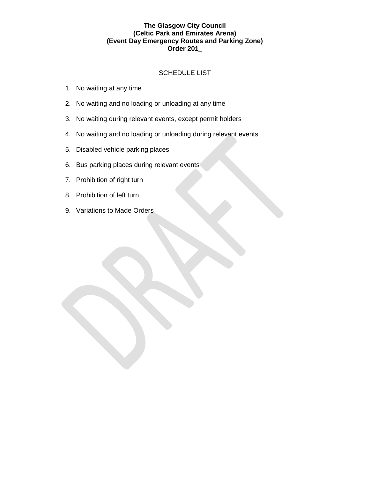## SCHEDULE LIST

- 1. No waiting at any time
- 2. No waiting and no loading or unloading at any time
- 3. No waiting during relevant events, except permit holders
- 4. No waiting and no loading or unloading during relevant events
- 5. Disabled vehicle parking places
- 6. Bus parking places during relevant events
- 7. Prohibition of right turn
- 8. Prohibition of left turn
- 9. Variations to Made Orders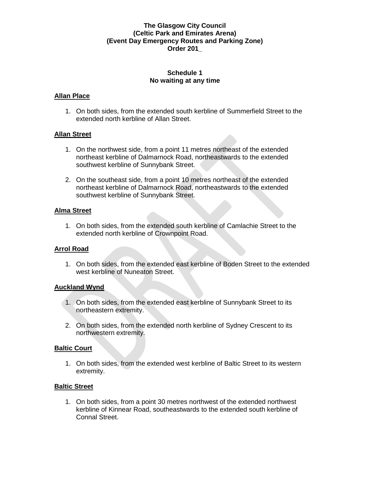### **Schedule 1 No waiting at any time**

### **Allan Place**

1. On both sides, from the extended south kerbline of Summerfield Street to the extended north kerbline of Allan Street.

### **Allan Street**

- 1. On the northwest side, from a point 11 metres northeast of the extended northeast kerbline of Dalmarnock Road, northeastwards to the extended southwest kerbline of Sunnybank Street.
- 2. On the southeast side, from a point 10 metres northeast of the extended northeast kerbline of Dalmarnock Road, northeastwards to the extended southwest kerbline of Sunnybank Street.

#### **Alma Street**

1. On both sides, from the extended south kerbline of Camlachie Street to the extended north kerbline of Crownpoint Road.

## **Arrol Road**

1. On both sides, from the extended east kerbline of Boden Street to the extended west kerbline of Nuneaton Street.

#### **Auckland Wynd**

- 1. On both sides, from the extended east kerbline of Sunnybank Street to its northeastern extremity.
- 2. On both sides, from the extended north kerbline of Sydney Crescent to its northwestern extremity.

#### **Baltic Court**

1. On both sides, from the extended west kerbline of Baltic Street to its western extremity.

## **Baltic Street**

1. On both sides, from a point 30 metres northwest of the extended northwest kerbline of Kinnear Road, southeastwards to the extended south kerbline of Connal Street.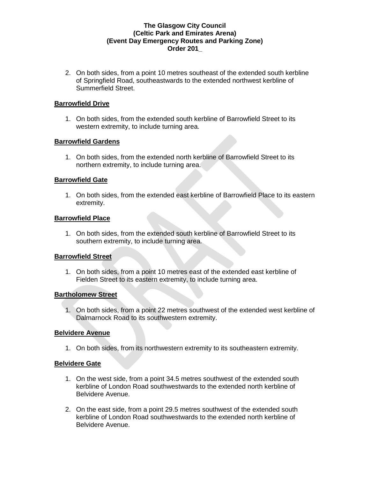2. On both sides, from a point 10 metres southeast of the extended south kerbline of Springfield Road, southeastwards to the extended northwest kerbline of Summerfield Street.

### **Barrowfield Drive**

1. On both sides, from the extended south kerbline of Barrowfield Street to its western extremity, to include turning area.

### **Barrowfield Gardens**

1. On both sides, from the extended north kerbline of Barrowfield Street to its northern extremity, to include turning area.

### **Barrowfield Gate**

1. On both sides, from the extended east kerbline of Barrowfield Place to its eastern extremity.

### **Barrowfield Place**

1. On both sides, from the extended south kerbline of Barrowfield Street to its southern extremity, to include turning area.

## **Barrowfield Street**

1. On both sides, from a point 10 metres east of the extended east kerbline of Fielden Street to its eastern extremity, to include turning area.

#### **Bartholomew Street**

1. On both sides, from a point 22 metres southwest of the extended west kerbline of Dalmarnock Road to its southwestern extremity.

### **Belvidere Avenue**

1. On both sides, from its northwestern extremity to its southeastern extremity.

## **Belvidere Gate**

- 1. On the west side, from a point 34.5 metres southwest of the extended south kerbline of London Road southwestwards to the extended north kerbline of Belvidere Avenue.
- 2. On the east side, from a point 29.5 metres southwest of the extended south kerbline of London Road southwestwards to the extended north kerbline of Belvidere Avenue.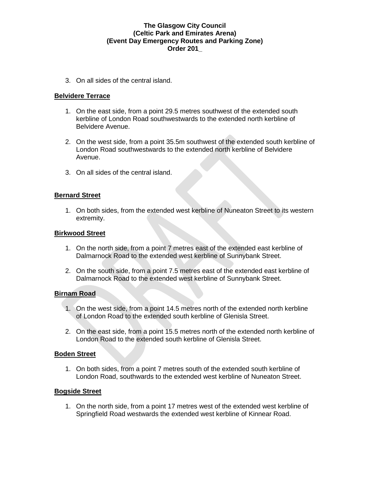3. On all sides of the central island.

### **Belvidere Terrace**

- 1. On the east side, from a point 29.5 metres southwest of the extended south kerbline of London Road southwestwards to the extended north kerbline of Belvidere Avenue.
- 2. On the west side, from a point 35.5m southwest of the extended south kerbline of London Road southwestwards to the extended north kerbline of Belvidere Avenue.
- 3. On all sides of the central island.

#### **Bernard Street**

1. On both sides, from the extended west kerbline of Nuneaton Street to its western extremity.

#### **Birkwood Street**

- 1. On the north side, from a point 7 metres east of the extended east kerbline of Dalmarnock Road to the extended west kerbline of Sunnybank Street.
- 2. On the south side, from a point 7.5 metres east of the extended east kerbline of Dalmarnock Road to the extended west kerbline of Sunnybank Street.

#### **Birnam Road**

- 1. On the west side, from a point 14.5 metres north of the extended north kerbline of London Road to the extended south kerbline of Glenisla Street.
- 2. On the east side, from a point 15.5 metres north of the extended north kerbline of London Road to the extended south kerbline of Glenisla Street.

#### **Boden Street**

1. On both sides, from a point 7 metres south of the extended south kerbline of London Road, southwards to the extended west kerbline of Nuneaton Street.

#### **Bogside Street**

1. On the north side, from a point 17 metres west of the extended west kerbline of Springfield Road westwards the extended west kerbline of Kinnear Road.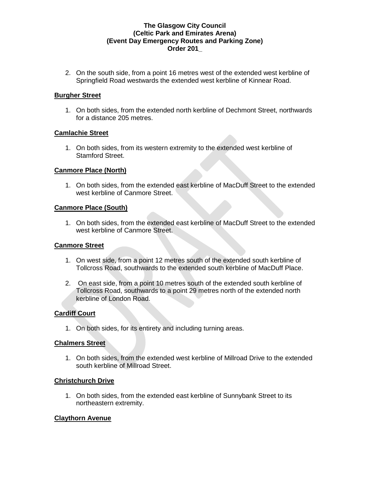2. On the south side, from a point 16 metres west of the extended west kerbline of Springfield Road westwards the extended west kerbline of Kinnear Road.

## **Burgher Street**

1. On both sides, from the extended north kerbline of Dechmont Street, northwards for a distance 205 metres.

### **Camlachie Street**

1. On both sides, from its western extremity to the extended west kerbline of Stamford Street.

### **Canmore Place (North)**

1. On both sides, from the extended east kerbline of MacDuff Street to the extended west kerbline of Canmore Street.

### **Canmore Place (South)**

1. On both sides, from the extended east kerbline of MacDuff Street to the extended west kerbline of Canmore Street.

#### **Canmore Street**

- 1. On west side, from a point 12 metres south of the extended south kerbline of Tollcross Road, southwards to the extended south kerbline of MacDuff Place.
- 2. On east side, from a point 10 metres south of the extended south kerbline of Tollcross Road, southwards to a point 29 metres north of the extended north kerbline of London Road.

## **Cardiff Court**

1. On both sides, for its entirety and including turning areas.

#### **Chalmers Street**

1. On both sides, from the extended west kerbline of Millroad Drive to the extended south kerbline of Millroad Street.

#### **Christchurch Drive**

1. On both sides, from the extended east kerbline of Sunnybank Street to its northeastern extremity.

#### **Claythorn Avenue**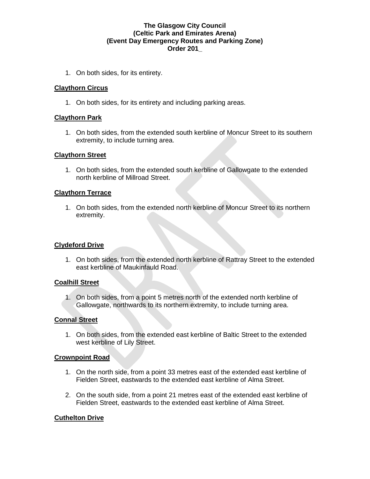1. On both sides, for its entirety.

### **Claythorn Circus**

1. On both sides, for its entirety and including parking areas.

### **Claythorn Park**

1. On both sides, from the extended south kerbline of Moncur Street to its southern extremity, to include turning area.

#### **Claythorn Street**

1. On both sides, from the extended south kerbline of Gallowgate to the extended north kerbline of Millroad Street.

### **Claythorn Terrace**

1. On both sides, from the extended north kerbline of Moncur Street to its northern extremity.

#### **Clydeford Drive**

1. On both sides, from the extended north kerbline of Rattray Street to the extended east kerbline of Maukinfauld Road.

#### **Coalhill Street**

1. On both sides, from a point 5 metres north of the extended north kerbline of Gallowgate, northwards to its northern extremity, to include turning area.

#### **Connal Street**

1. On both sides, from the extended east kerbline of Baltic Street to the extended west kerbline of Lily Street.

#### **Crownpoint Road**

- 1. On the north side, from a point 33 metres east of the extended east kerbline of Fielden Street, eastwards to the extended east kerbline of Alma Street.
- 2. On the south side, from a point 21 metres east of the extended east kerbline of Fielden Street, eastwards to the extended east kerbline of Alma Street.

## **Cuthelton Drive**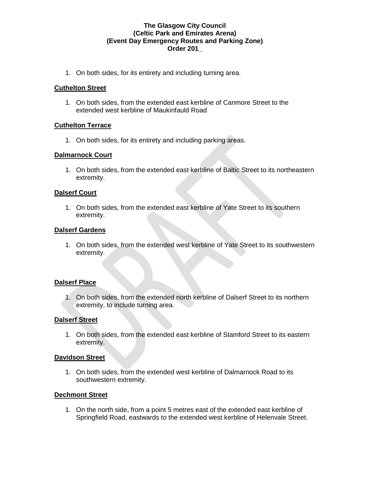1. On both sides, for its entirety and including turning area.

## **Cuthelton Street**

1. On both sides, from the extended east kerbline of Canmore Street to the extended west kerbline of Maukinfauld Road

## **Cuthelton Terrace**

1. On both sides, for its entirety and including parking areas.

## **Dalmarnock Court**

1. On both sides, from the extended east kerbline of Baltic Street to its northeastern extremity.

## **Dalserf Court**

1. On both sides, from the extended east kerbline of Yate Street to its southern extremity.

### **Dalserf Gardens**

1. On both sides, from the extended west kerbline of Yate Street to its southwestern extremity.

## **Dalserf Place**

1. On both sides, from the extended north kerbline of Dalserf Street to its northern extremity, to include turning area.

## **Dalserf Street**

1. On both sides, from the extended east kerbline of Stamford Street to its eastern extremity.

#### **Davidson Street**

1. On both sides, from the extended west kerbline of Dalmarnock Road to its southwestern extremity.

#### **Dechmont Street**

1. On the north side, from a point 5 metres east of the extended east kerbline of Springfield Road, eastwards to the extended west kerbline of Helenvale Street.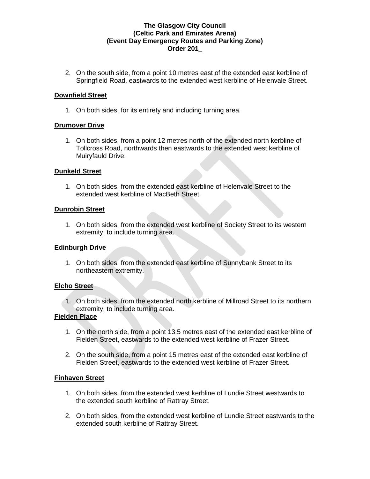2. On the south side, from a point 10 metres east of the extended east kerbline of Springfield Road, eastwards to the extended west kerbline of Helenvale Street.

### **Downfield Street**

1. On both sides, for its entirety and including turning area.

### **Drumover Drive**

1. On both sides, from a point 12 metres north of the extended north kerbline of Tollcross Road, northwards then eastwards to the extended west kerbline of Muiryfauld Drive.

### **Dunkeld Street**

1. On both sides, from the extended east kerbline of Helenvale Street to the extended west kerbline of MacBeth Street.

### **Dunrobin Street**

1. On both sides, from the extended west kerbline of Society Street to its western extremity, to include turning area.

## **Edinburgh Drive**

1. On both sides, from the extended east kerbline of Sunnybank Street to its northeastern extremity.

#### **Elcho Street**

1. On both sides, from the extended north kerbline of Millroad Street to its northern extremity, to include turning area.

## **Fielden Place**

- 1. On the north side, from a point 13.5 metres east of the extended east kerbline of Fielden Street, eastwards to the extended west kerbline of Frazer Street.
- 2. On the south side, from a point 15 metres east of the extended east kerbline of Fielden Street, eastwards to the extended west kerbline of Frazer Street.

#### **Finhaven Street**

- 1. On both sides, from the extended west kerbline of Lundie Street westwards to the extended south kerbline of Rattray Street.
- 2. On both sides, from the extended west kerbline of Lundie Street eastwards to the extended south kerbline of Rattray Street.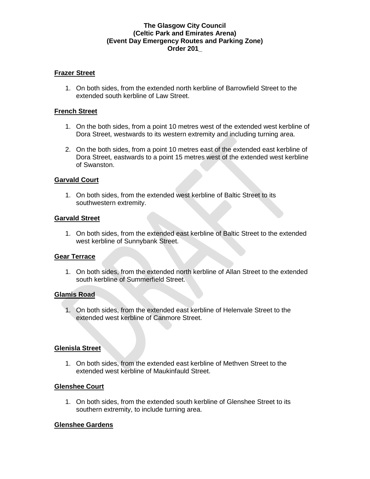### **Frazer Street**

1. On both sides, from the extended north kerbline of Barrowfield Street to the extended south kerbline of Law Street.

### **French Street**

- 1. On the both sides, from a point 10 metres west of the extended west kerbline of Dora Street, westwards to its western extremity and including turning area.
- 2. On the both sides, from a point 10 metres east of the extended east kerbline of Dora Street, eastwards to a point 15 metres west of the extended west kerbline of Swanston.

### **Garvald Court**

1. On both sides, from the extended west kerbline of Baltic Street to its southwestern extremity.

#### **Garvald Street**

1. On both sides, from the extended east kerbline of Baltic Street to the extended west kerbline of Sunnybank Street.

#### **Gear Terrace**

1. On both sides, from the extended north kerbline of Allan Street to the extended south kerbline of Summerfield Street.

#### **Glamis Road**

1. On both sides, from the extended east kerbline of Helenvale Street to the extended west kerbline of Canmore Street.

## **Glenisla Street**

1. On both sides, from the extended east kerbline of Methven Street to the extended west kerbline of Maukinfauld Street.

## **Glenshee Court**

1. On both sides, from the extended south kerbline of Glenshee Street to its southern extremity, to include turning area.

#### **Glenshee Gardens**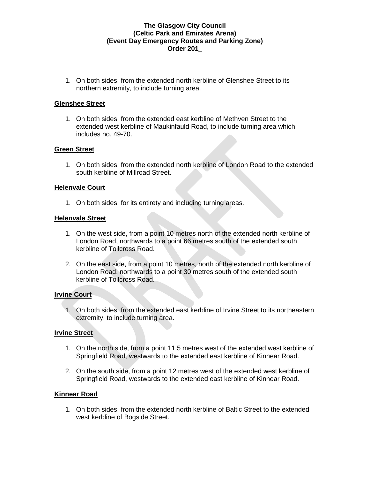1. On both sides, from the extended north kerbline of Glenshee Street to its northern extremity, to include turning area.

### **Glenshee Street**

1. On both sides, from the extended east kerbline of Methven Street to the extended west kerbline of Maukinfauld Road, to include turning area which includes no. 49-70.

## **Green Street**

1. On both sides, from the extended north kerbline of London Road to the extended south kerbline of Millroad Street.

### **Helenvale Court**

1. On both sides, for its entirety and including turning areas.

#### **Helenvale Street**

- 1. On the west side, from a point 10 metres north of the extended north kerbline of London Road, northwards to a point 66 metres south of the extended south kerbline of Tollcross Road.
- 2. On the east side, from a point 10 metres, north of the extended north kerbline of London Road, northwards to a point 30 metres south of the extended south kerbline of Tollcross Road.

#### **Irvine Court**

1. On both sides, from the extended east kerbline of Irvine Street to its northeastern extremity, to include turning area.

#### **Irvine Street**

- 1. On the north side, from a point 11.5 metres west of the extended west kerbline of Springfield Road, westwards to the extended east kerbline of Kinnear Road.
- 2. On the south side, from a point 12 metres west of the extended west kerbline of Springfield Road, westwards to the extended east kerbline of Kinnear Road.

#### **Kinnear Road**

1. On both sides, from the extended north kerbline of Baltic Street to the extended west kerbline of Bogside Street.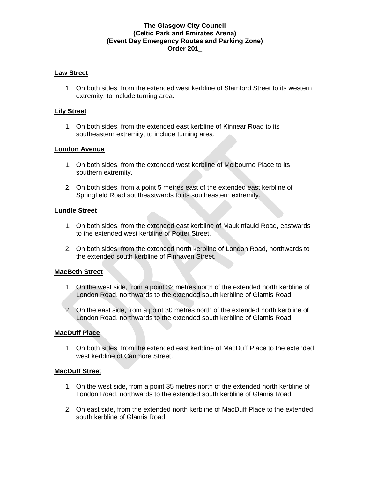### **Law Street**

1. On both sides, from the extended west kerbline of Stamford Street to its western extremity, to include turning area.

### **Lily Street**

1. On both sides, from the extended east kerbline of Kinnear Road to its southeastern extremity, to include turning area.

### **London Avenue**

- 1. On both sides, from the extended west kerbline of Melbourne Place to its southern extremity.
- 2. On both sides, from a point 5 metres east of the extended east kerbline of Springfield Road southeastwards to its southeastern extremity.

#### **Lundie Street**

- 1. On both sides, from the extended east kerbline of Maukinfauld Road, eastwards to the extended west kerbline of Potter Street.
- 2. On both sides, from the extended north kerbline of London Road, northwards to the extended south kerbline of Finhaven Street.

## **MacBeth Street**

- 1. On the west side, from a point 32 metres north of the extended north kerbline of London Road, northwards to the extended south kerbline of Glamis Road.
- 2. On the east side, from a point 30 metres north of the extended north kerbline of London Road, northwards to the extended south kerbline of Glamis Road.

#### **MacDuff Place**

1. On both sides, from the extended east kerbline of MacDuff Place to the extended west kerbline of Canmore Street.

## **MacDuff Street**

- 1. On the west side, from a point 35 metres north of the extended north kerbline of London Road, northwards to the extended south kerbline of Glamis Road.
- 2. On east side, from the extended north kerbline of MacDuff Place to the extended south kerbline of Glamis Road.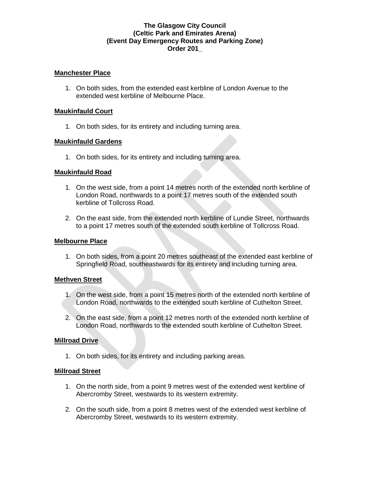### **Manchester Place**

1. On both sides, from the extended east kerbline of London Avenue to the extended west kerbline of Melbourne Place.

### **Maukinfauld Court**

1. On both sides, for its entirety and including turning area.

### **Maukinfauld Gardens**

1. On both sides, for its entirety and including turning area.

### **Maukinfauld Road**

- 1. On the west side, from a point 14 metres north of the extended north kerbline of London Road, northwards to a point 17 metres south of the extended south kerbline of Tollcross Road.
- 2. On the east side, from the extended north kerbline of Lundie Street, northwards to a point 17 metres south of the extended south kerbline of Tollcross Road.

### **Melbourne Place**

1. On both sides, from a point 20 metres southeast of the extended east kerbline of Springfield Road, southeastwards for its entirety and including turning area.

## **Methven Street**

- 1. On the west side, from a point 15 metres north of the extended north kerbline of London Road, northwards to the extended south kerbline of Cuthelton Street.
- 2. On the east side, from a point 12 metres north of the extended north kerbline of London Road, northwards to the extended south kerbline of Cuthelton Street.

#### **Millroad Drive**

1. On both sides, for its entirety and including parking areas.

#### **Millroad Street**

- 1. On the north side, from a point 9 metres west of the extended west kerbline of Abercromby Street, westwards to its western extremity.
- 2. On the south side, from a point 8 metres west of the extended west kerbline of Abercromby Street, westwards to its western extremity.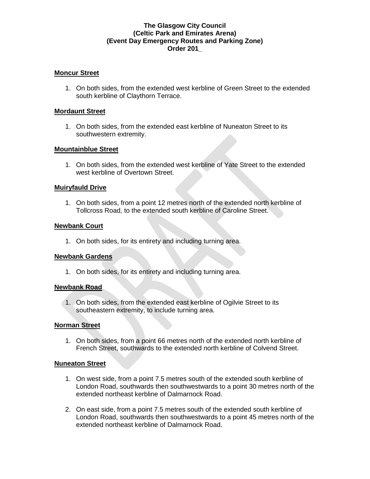#### **Moncur Street**

1. On both sides, from the extended west kerbline of Green Street to the extended south kerbline of Claythorn Terrace.

#### **Mordaunt Street**

1. On both sides, from the extended east kerbline of Nuneaton Street to its southwestern extremity.

### **Mountainblue Street**

1. On both sides, from the extended west kerbline of Yate Street to the extended west kerbline of Overtown Street.

### **Muiryfauld Drive**

1. On both sides, from a point 12 metres north of the extended north kerbline of Tollcross Road, to the extended south kerbline of Caroline Street.

### **Newbank Court**

1. On both sides, for its entirety and including turning area.

#### **Newbank Gardens**

1. On both sides, for its entirety and including turning area.

#### **Newbank Road**

1. On both sides, from the extended east kerbline of Ogilvie Street to its southeastern extremity, to include turning area.

#### **Norman Street**

1. On both sides, from a point 66 metres north of the extended north kerbline of French Street, southwards to the extended north kerbline of Colvend Street.

#### **Nuneaton Street**

- 1. On west side, from a point 7.5 metres south of the extended south kerbline of London Road, southwards then southwestwards to a point 30 metres north of the extended northeast kerbline of Dalmarnock Road.
- 2. On east side, from a point 7.5 metres south of the extended south kerbline of London Road, southwards then southwestwards to a point 45 metres north of the extended northeast kerbline of Dalmarnock Road.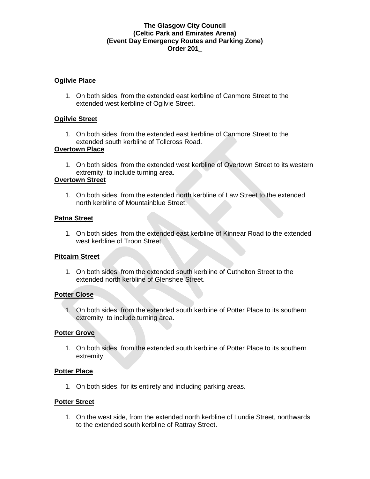### **Ogilvie Place**

1. On both sides, from the extended east kerbline of Canmore Street to the extended west kerbline of Ogilvie Street.

### **Ogilvie Street**

1. On both sides, from the extended east kerbline of Canmore Street to the extended south kerbline of Tollcross Road.

### **Overtown Place**

1. On both sides, from the extended west kerbline of Overtown Street to its western extremity, to include turning area.

#### **Overtown Street**

1. On both sides, from the extended north kerbline of Law Street to the extended north kerbline of Mountainblue Street.

### **Patna Street**

1. On both sides, from the extended east kerbline of Kinnear Road to the extended west kerbline of Troon Street.

## **Pitcairn Street**

1. On both sides, from the extended south kerbline of Cuthelton Street to the extended north kerbline of Glenshee Street.

#### **Potter Close**

1. On both sides, from the extended south kerbline of Potter Place to its southern extremity, to include turning area.

#### **Potter Grove**

1. On both sides, from the extended south kerbline of Potter Place to its southern extremity.

#### **Potter Place**

1. On both sides, for its entirety and including parking areas.

#### **Potter Street**

1. On the west side, from the extended north kerbline of Lundie Street, northwards to the extended south kerbline of Rattray Street.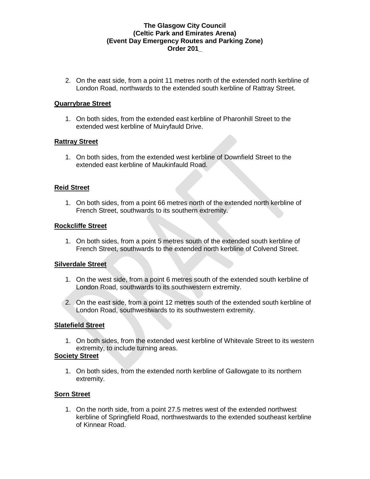2. On the east side, from a point 11 metres north of the extended north kerbline of London Road, northwards to the extended south kerbline of Rattray Street.

### **Quarrybrae Street**

1. On both sides, from the extended east kerbline of Pharonhill Street to the extended west kerbline of Muiryfauld Drive.

### **Rattray Street**

1. On both sides, from the extended west kerbline of Downfield Street to the extended east kerbline of Maukinfauld Road.

### **Reid Street**

1. On both sides, from a point 66 metres north of the extended north kerbline of French Street, southwards to its southern extremity.

### **Rockcliffe Street**

1. On both sides, from a point 5 metres south of the extended south kerbline of French Street, southwards to the extended north kerbline of Colvend Street.

### **Silverdale Street**

- 1. On the west side, from a point 6 metres south of the extended south kerbline of London Road, southwards to its southwestern extremity.
- 2. On the east side, from a point 12 metres south of the extended south kerbline of London Road, southwestwards to its southwestern extremity.

#### **Slatefield Street**

1. On both sides, from the extended west kerbline of Whitevale Street to its western extremity, to include turning areas.

#### **Society Street**

1. On both sides, from the extended north kerbline of Gallowgate to its northern extremity.

## **Sorn Street**

1. On the north side, from a point 27.5 metres west of the extended northwest kerbline of Springfield Road, northwestwards to the extended southeast kerbline of Kinnear Road.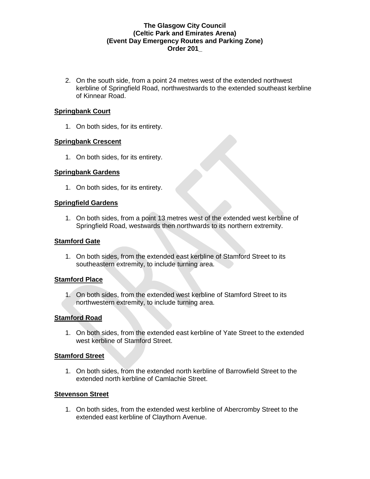2. On the south side, from a point 24 metres west of the extended northwest kerbline of Springfield Road, northwestwards to the extended southeast kerbline of Kinnear Road.

### **Springbank Court**

1. On both sides, for its entirety.

### **Springbank Crescent**

1. On both sides, for its entirety.

### **Springbank Gardens**

1. On both sides, for its entirety.

### **Springfield Gardens**

1. On both sides, from a point 13 metres west of the extended west kerbline of Springfield Road, westwards then northwards to its northern extremity.

### **Stamford Gate**

1. On both sides, from the extended east kerbline of Stamford Street to its southeastern extremity, to include turning area.

## **Stamford Place**

1. On both sides, from the extended west kerbline of Stamford Street to its northwestern extremity, to include turning area.

## **Stamford Road**

1. On both sides, from the extended east kerbline of Yate Street to the extended west kerbline of Stamford Street.

#### **Stamford Street**

1. On both sides, from the extended north kerbline of Barrowfield Street to the extended north kerbline of Camlachie Street.

#### **Stevenson Street**

1. On both sides, from the extended west kerbline of Abercromby Street to the extended east kerbline of Claythorn Avenue.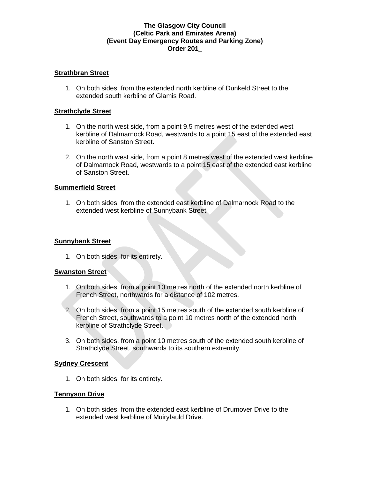### **Strathbran Street**

1. On both sides, from the extended north kerbline of Dunkeld Street to the extended south kerbline of Glamis Road.

#### **Strathclyde Street**

- 1. On the north west side, from a point 9.5 metres west of the extended west kerbline of Dalmarnock Road, westwards to a point 15 east of the extended east kerbline of Sanston Street.
- 2. On the north west side, from a point 8 metres west of the extended west kerbline of Dalmarnock Road, westwards to a point 15 east of the extended east kerbline of Sanston Street.

### **Summerfield Street**

1. On both sides, from the extended east kerbline of Dalmarnock Road to the extended west kerbline of Sunnybank Street.

#### **Sunnybank Street**

1. On both sides, for its entirety.

#### **Swanston Street**

- 1. On both sides, from a point 10 metres north of the extended north kerbline of French Street, northwards for a distance of 102 metres.
- 2. On both sides, from a point 15 metres south of the extended south kerbline of French Street, southwards to a point 10 metres north of the extended north kerbline of Strathclyde Street.
- 3. On both sides, from a point 10 metres south of the extended south kerbline of Strathclyde Street, southwards to its southern extremity.

#### **Sydney Crescent**

1. On both sides, for its entirety.

## **Tennyson Drive**

1. On both sides, from the extended east kerbline of Drumover Drive to the extended west kerbline of Muiryfauld Drive.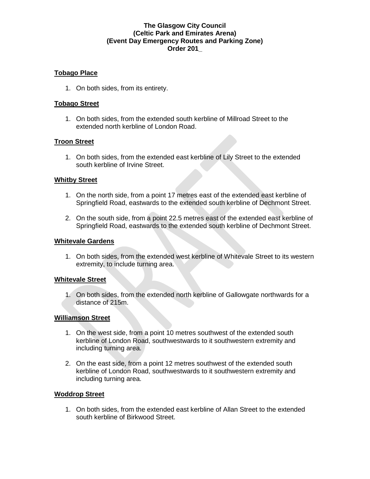## **Tobago Place**

1. On both sides, from its entirety.

### **Tobago Street**

1. On both sides, from the extended south kerbline of Millroad Street to the extended north kerbline of London Road.

### **Troon Street**

1. On both sides, from the extended east kerbline of Lily Street to the extended south kerbline of Irvine Street.

#### **Whitby Street**

- 1. On the north side, from a point 17 metres east of the extended east kerbline of Springfield Road, eastwards to the extended south kerbline of Dechmont Street.
- 2. On the south side, from a point 22.5 metres east of the extended east kerbline of Springfield Road, eastwards to the extended south kerbline of Dechmont Street.

### **Whitevale Gardens**

1. On both sides, from the extended west kerbline of Whitevale Street to its western extremity, to include turning area.

#### **Whitevale Street**

1. On both sides, from the extended north kerbline of Gallowgate northwards for a distance of 215m.

#### **Williamson Street**

- 1. On the west side, from a point 10 metres southwest of the extended south kerbline of London Road, southwestwards to it southwestern extremity and including turning area.
- 2. On the east side, from a point 12 metres southwest of the extended south kerbline of London Road, southwestwards to it southwestern extremity and including turning area.

#### **Woddrop Street**

1. On both sides, from the extended east kerbline of Allan Street to the extended south kerbline of Birkwood Street.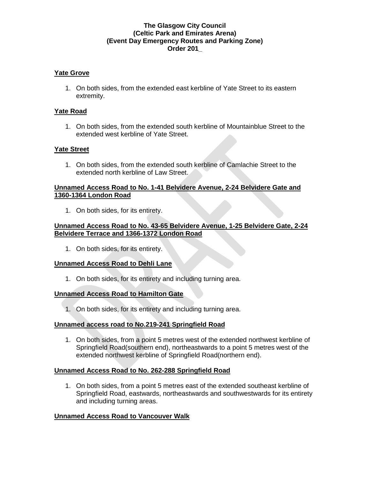### **Yate Grove**

1. On both sides, from the extended east kerbline of Yate Street to its eastern extremity.

### **Yate Road**

1. On both sides, from the extended south kerbline of Mountainblue Street to the extended west kerbline of Yate Street.

### **Yate Street**

1. On both sides, from the extended south kerbline of Camlachie Street to the extended north kerbline of Law Street.

#### **Unnamed Access Road to No. 1-41 Belvidere Avenue, 2-24 Belvidere Gate and 1360-1364 London Road**

1. On both sides, for its entirety.

### **Unnamed Access Road to No. 43-65 Belvidere Avenue, 1-25 Belvidere Gate, 2-24 Belvidere Terrace and 1366-1372 London Road**

1. On both sides, for its entirety.

#### **Unnamed Access Road to Dehli Lane**

1. On both sides, for its entirety and including turning area.

#### **Unnamed Access Road to Hamilton Gate**

1. On both sides, for its entirety and including turning area.

## **Unnamed access road to No.219-241 Springfield Road**

1. On both sides, from a point 5 metres west of the extended northwest kerbline of Springfield Road(southern end), northeastwards to a point 5 metres west of the extended northwest kerbline of Springfield Road(northern end).

## **Unnamed Access Road to No. 262-288 Springfield Road**

1. On both sides, from a point 5 metres east of the extended southeast kerbline of Springfield Road, eastwards, northeastwards and southwestwards for its entirety and including turning areas.

## **Unnamed Access Road to Vancouver Walk**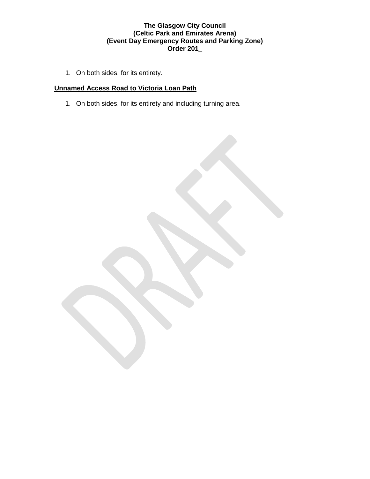1. On both sides, for its entirety.

# **Unnamed Access Road to Victoria Loan Path**

1. On both sides, for its entirety and including turning area.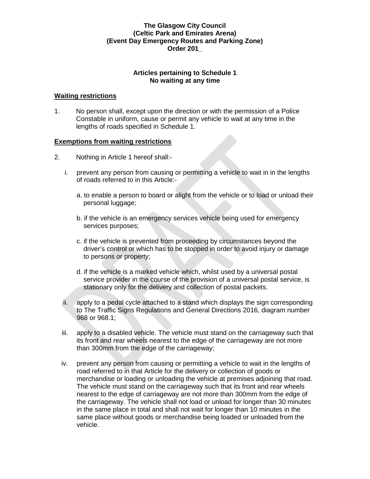## **Articles pertaining to Schedule 1 No waiting at any time**

### **Waiting restrictions**

1. No person shall, except upon the direction or with the permission of a Police Constable in uniform, cause or permit any vehicle to wait at any time in the lengths of roads specified in Schedule 1.

### **Exemptions from waiting restrictions**

- 2. Nothing in Article 1 hereof shall:
	- i. prevent any person from causing or permitting a vehicle to wait in in the lengths of roads referred to in this Article:
		- a. to enable a person to board or alight from the vehicle or to load or unload their personal luggage;
		- b. if the vehicle is an emergency services vehicle being used for emergency services purposes;
		- c. if the vehicle is prevented from proceeding by circumstances beyond the driver's control or which has to be stopped in order to avoid injury or damage to persons or property;
		- d. if the vehicle is a marked vehicle which, whilst used by a universal postal service provider in the course of the provision of a universal postal service, is stationary only for the delivery and collection of postal packets.
	- ii. apply to a pedal cycle attached to a stand which displays the sign corresponding to The Traffic Signs Regulations and General Directions 2016, diagram number 968 or 968.1;
	- iii. apply to a disabled vehicle. The vehicle must stand on the carriageway such that its front and rear wheels nearest to the edge of the carriageway are not more than 300mm from the edge of the carriageway;
	- iv. prevent any person from causing or permitting a vehicle to wait in the lengths of road referred to in that Article for the delivery or collection of goods or merchandise or loading or unloading the vehicle at premises adjoining that road. The vehicle must stand on the carriageway such that its front and rear wheels nearest to the edge of carriageway are not more than 300mm from the edge of the carriageway. The vehicle shall not load or unload for longer than 30 minutes in the same place in total and shall not wait for longer than 10 minutes in the same place without goods or merchandise being loaded or unloaded from the vehicle.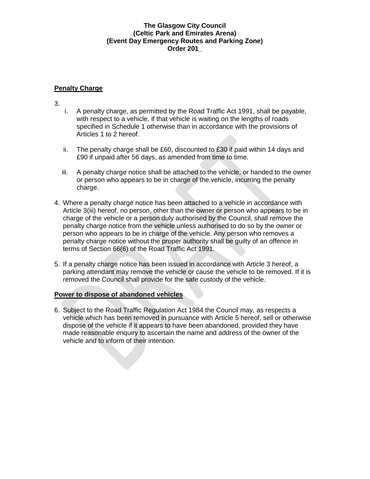# **Penalty Charge**

3.

- i. A penalty charge, as permitted by the Road Traffic Act 1991, shall be payable, with respect to a vehicle, if that vehicle is waiting on the lengths of roads specified in Schedule 1 otherwise than in accordance with the provisions of Articles 1 to 2 hereof.
- ii. The penalty charge shall be  $£60$ , discounted to  $£30$  if paid within 14 days and £90 if unpaid after 56 days, as amended from time to time.
- iii. A penalty charge notice shall be attached to the vehicle, or handed to the owner or person who appears to be in charge of the vehicle, incurring the penalty charge.
- 4. Where a penalty charge notice has been attached to a vehicle in accordance with Article 3(iii) hereof, no person, other than the owner or person who appears to be in charge of the vehicle or a person duly authorised by the Council, shall remove the penalty charge notice from the vehicle unless authorised to do so by the owner or person who appears to be in charge of the vehicle. Any person who removes a penalty charge notice without the proper authority shall be guilty of an offence in terms of Section 66(6) of the Road Traffic Act 1991.
- 5. If a penalty charge notice has been issued in accordance with Article 3 hereof, a parking attendant may remove the vehicle or cause the vehicle to be removed. If it is removed the Council shall provide for the safe custody of the vehicle.

## **Power to dispose of abandoned vehicles**

6. Subject to the Road Traffic Regulation Act 1984 the Council may, as respects a vehicle which has been removed in pursuance with Article 5 hereof, sell or otherwise dispose of the vehicle if it appears to have been abandoned, provided they have made reasonable enquiry to ascertain the name and address of the owner of the vehicle and to inform of their intention.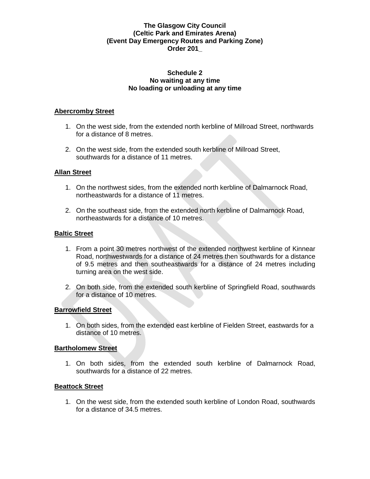#### **Schedule 2 No waiting at any time No loading or unloading at any time**

### **Abercromby Street**

- 1. On the west side, from the extended north kerbline of Millroad Street, northwards for a distance of 8 metres.
- 2. On the west side, from the extended south kerbline of Millroad Street, southwards for a distance of 11 metres.

### **Allan Street**

- 1. On the northwest sides, from the extended north kerbline of Dalmarnock Road, northeastwards for a distance of 11 metres.
- 2. On the southeast side, from the extended north kerbline of Dalmarnock Road, northeastwards for a distance of 10 metres.

### **Baltic Street**

- 1. From a point 30 metres northwest of the extended northwest kerbline of Kinnear Road, northwestwards for a distance of 24 metres then southwards for a distance of 9.5 metres and then southeastwards for a distance of 24 metres including turning area on the west side.
- 2. On both side, from the extended south kerbline of Springfield Road, southwards for a distance of 10 metres.

#### **Barrowfield Street**

1. On both sides, from the extended east kerbline of Fielden Street, eastwards for a distance of 10 metres.

#### **Bartholomew Street**

1. On both sides, from the extended south kerbline of Dalmarnock Road, southwards for a distance of 22 metres.

#### **Beattock Street**

1. On the west side, from the extended south kerbline of London Road, southwards for a distance of 34.5 metres.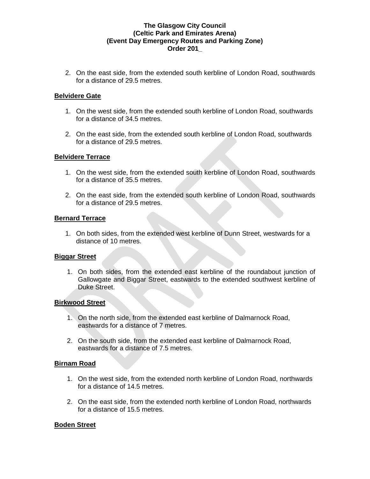2. On the east side, from the extended south kerbline of London Road, southwards for a distance of 29.5 metres.

### **Belvidere Gate**

- 1. On the west side, from the extended south kerbline of London Road, southwards for a distance of 34.5 metres.
- 2. On the east side, from the extended south kerbline of London Road, southwards for a distance of 29.5 metres.

### **Belvidere Terrace**

- 1. On the west side, from the extended south kerbline of London Road, southwards for a distance of 35.5 metres.
- 2. On the east side, from the extended south kerbline of London Road, southwards for a distance of 29.5 metres.

### **Bernard Terrace**

1. On both sides, from the extended west kerbline of Dunn Street, westwards for a distance of 10 metres.

## **Biggar Street**

1. On both sides, from the extended east kerbline of the roundabout junction of Gallowgate and Biggar Street, eastwards to the extended southwest kerbline of Duke Street.

## **Birkwood Street**

- 1. On the north side, from the extended east kerbline of Dalmarnock Road, eastwards for a distance of 7 metres.
- 2. On the south side, from the extended east kerbline of Dalmarnock Road, eastwards for a distance of 7.5 metres.

## **Birnam Road**

- 1. On the west side, from the extended north kerbline of London Road, northwards for a distance of 14.5 metres.
- 2. On the east side, from the extended north kerbline of London Road, northwards for a distance of 15.5 metres.

## **Boden Street**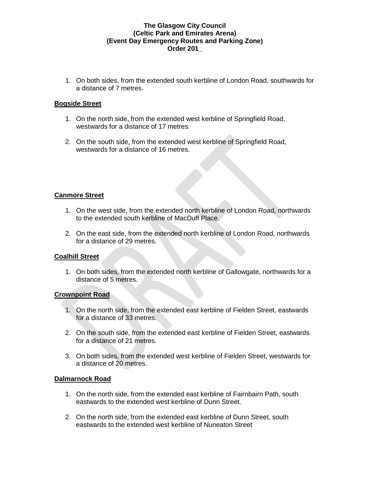1. On both sides, from the extended south kerbline of London Road, southwards for a distance of 7 metres.

### **Bogside Street**

- 1. On the north side, from the extended west kerbline of Springfield Road, westwards for a distance of 17 metres.
- 2. On the south side, from the extended west kerbline of Springfield Road, westwards for a distance of 16 metres.

#### **Canmore Street**

- 1. On the west side, from the extended north kerbline of London Road, northwards to the extended south kerbline of MacDuff Place.
- 2. On the east side, from the extended north kerbline of London Road, northwards for a distance of 29 metres.

## **Coalhill Street**

1. On both sides, from the extended north kerbline of Gallowgate, northwards for a distance of 5 metres.

#### **Crownpoint Road**

- 1. On the north side, from the extended east kerbline of Fielden Street, eastwards for a distance of 33 metres.
- 2. On the south side, from the extended east kerbline of Fielden Street, eastwards for a distance of 21 metres.
- 3. On both sides, from the extended west kerbline of Fielden Street, westwards for a distance of 20 metres.

#### **Dalmarnock Road**

- 1. On the north side, from the extended east kerbline of Fairnbairn Path, south eastwards to the extended west kerbline of Dunn Street.
- 2. On the north side, from the extended east kerbline of Dunn Street, south eastwards to the extended west kerbline of Nuneaton Street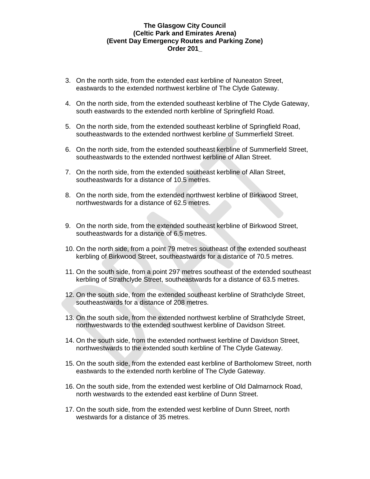- 3. On the north side, from the extended east kerbline of Nuneaton Street, eastwards to the extended northwest kerbline of The Clyde Gateway.
- 4. On the north side, from the extended southeast kerbline of The Clyde Gateway, south eastwards to the extended north kerbline of Springfield Road.
- 5. On the north side, from the extended southeast kerbline of Springfield Road, southeastwards to the extended northwest kerbline of Summerfield Street.
- 6. On the north side, from the extended southeast kerbline of Summerfield Street, southeastwards to the extended northwest kerbline of Allan Street.
- 7. On the north side, from the extended southeast kerbline of Allan Street, southeastwards for a distance of 10.5 metres.
- 8. On the north side, from the extended northwest kerbline of Birkwood Street, northwestwards for a distance of 62.5 metres.
- 9. On the north side, from the extended southeast kerbline of Birkwood Street, southeastwards for a distance of 6.5 metres.
- 10. On the north side, from a point 79 metres southeast of the extended southeast kerbling of Birkwood Street, southeastwards for a distance of 70.5 metres.
- 11. On the south side, from a point 297 metres southeast of the extended southeast kerbling of Strathclyde Street, southeastwards for a distance of 63.5 metres.
- 12. On the south side, from the extended southeast kerbline of Strathclyde Street, southeastwards for a distance of 208 metres.
- 13. On the south side, from the extended northwest kerbline of Strathclyde Street, northwestwards to the extended southwest kerbline of Davidson Street.
- 14. On the south side, from the extended northwest kerbline of Davidson Street, northwestwards to the extended south kerbline of The Clyde Gateway.
- 15. On the south side, from the extended east kerbline of Bartholomew Street, north eastwards to the extended north kerbline of The Clyde Gateway.
- 16. On the south side, from the extended west kerbline of Old Dalmarnock Road, north westwards to the extended east kerbline of Dunn Street.
- 17. On the south side, from the extended west kerbline of Dunn Street, north westwards for a distance of 35 metres.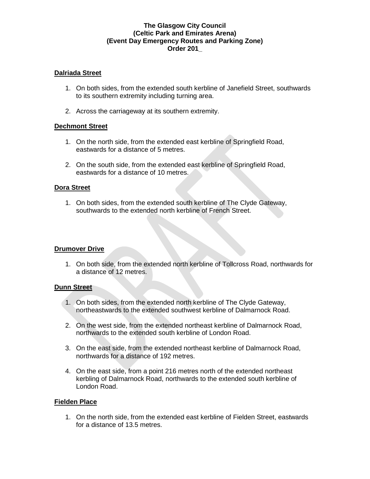### **Dalriada Street**

- 1. On both sides, from the extended south kerbline of Janefield Street, southwards to its southern extremity including turning area.
- 2. Across the carriageway at its southern extremity.

### **Dechmont Street**

- 1. On the north side, from the extended east kerbline of Springfield Road, eastwards for a distance of 5 metres.
- 2. On the south side, from the extended east kerbline of Springfield Road, eastwards for a distance of 10 metres.

### **Dora Street**

1. On both sides, from the extended south kerbline of The Clyde Gateway, southwards to the extended north kerbline of French Street.

#### **Drumover Drive**

1. On both side, from the extended north kerbline of Tollcross Road, northwards for a distance of 12 metres.

#### **Dunn Street**

- 1. On both sides, from the extended north kerbline of The Clyde Gateway, northeastwards to the extended southwest kerbline of Dalmarnock Road.
- 2. On the west side, from the extended northeast kerbline of Dalmarnock Road, northwards to the extended south kerbline of London Road.
- 3. On the east side, from the extended northeast kerbline of Dalmarnock Road, northwards for a distance of 192 metres.
- 4. On the east side, from a point 216 metres north of the extended northeast kerbling of Dalmarnock Road, northwards to the extended south kerbline of London Road.

#### **Fielden Place**

1. On the north side, from the extended east kerbline of Fielden Street, eastwards for a distance of 13.5 metres.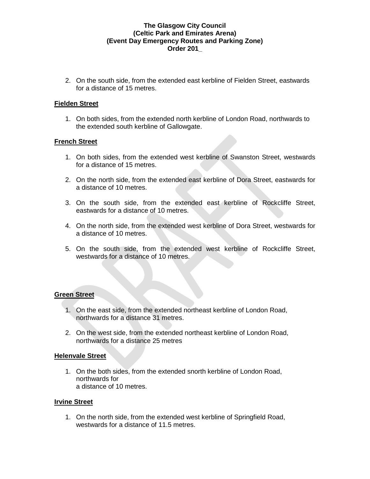2. On the south side, from the extended east kerbline of Fielden Street, eastwards for a distance of 15 metres.

### **Fielden Street**

1. On both sides, from the extended north kerbline of London Road, northwards to the extended south kerbline of Gallowgate.

### **French Street**

- 1. On both sides, from the extended west kerbline of Swanston Street, westwards for a distance of 15 metres.
- 2. On the north side, from the extended east kerbline of Dora Street, eastwards for a distance of 10 metres.
- 3. On the south side, from the extended east kerbline of Rockcliffe Street, eastwards for a distance of 10 metres.
- 4. On the north side, from the extended west kerbline of Dora Street, westwards for a distance of 10 metres.
- 5. On the south side, from the extended west kerbline of Rockcliffe Street, westwards for a distance of 10 metres.

## **Green Street**

- 1. On the east side, from the extended northeast kerbline of London Road, northwards for a distance 31 metres.
- 2. On the west side, from the extended northeast kerbline of London Road, northwards for a distance 25 metres

#### **Helenvale Street**

1. On the both sides, from the extended snorth kerbline of London Road, northwards for a distance of 10 metres.

#### **Irvine Street**

1. On the north side, from the extended west kerbline of Springfield Road, westwards for a distance of 11.5 metres.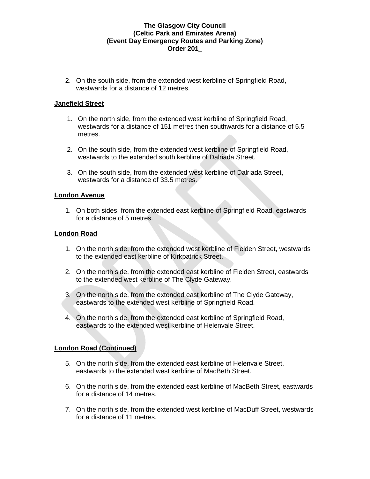2. On the south side, from the extended west kerbline of Springfield Road, westwards for a distance of 12 metres.

### **Janefield Street**

- 1. On the north side, from the extended west kerbline of Springfield Road, westwards for a distance of 151 metres then southwards for a distance of 5.5 metres.
- 2. On the south side, from the extended west kerbline of Springfield Road, westwards to the extended south kerbline of Dalriada Street.
- 3. On the south side, from the extended west kerbline of Dalriada Street, westwards for a distance of 33.5 metres.

### **London Avenue**

1. On both sides, from the extended east kerbline of Springfield Road, eastwards for a distance of 5 metres.

### **London Road**

- 1. On the north side, from the extended west kerbline of Fielden Street, westwards to the extended east kerbline of Kirkpatrick Street.
- 2. On the north side, from the extended east kerbline of Fielden Street, eastwards to the extended west kerbline of The Clyde Gateway.
- 3. On the north side, from the extended east kerbline of The Clyde Gateway, eastwards to the extended west kerbline of Springfield Road.
- 4. On the north side, from the extended east kerbline of Springfield Road, eastwards to the extended west kerbline of Helenvale Street.

## **London Road (Continued)**

- 5. On the north side, from the extended east kerbline of Helenvale Street, eastwards to the extended west kerbline of MacBeth Street.
- 6. On the north side, from the extended east kerbline of MacBeth Street, eastwards for a distance of 14 metres.
- 7. On the north side, from the extended west kerbline of MacDuff Street, westwards for a distance of 11 metres.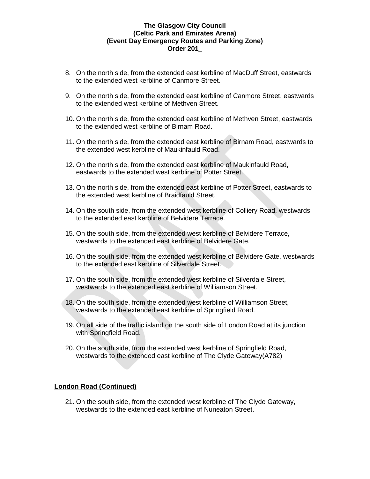- 8. On the north side, from the extended east kerbline of MacDuff Street, eastwards to the extended west kerbline of Canmore Street.
- 9. On the north side, from the extended east kerbline of Canmore Street, eastwards to the extended west kerbline of Methven Street.
- 10. On the north side, from the extended east kerbline of Methven Street, eastwards to the extended west kerbline of Birnam Road.
- 11. On the north side, from the extended east kerbline of Birnam Road, eastwards to the extended west kerbline of Maukinfauld Road.
- 12. On the north side, from the extended east kerbline of Maukinfauld Road, eastwards to the extended west kerbline of Potter Street.
- 13. On the north side, from the extended east kerbline of Potter Street, eastwards to the extended west kerbline of Braidfauld Street.
- 14. On the south side, from the extended west kerbline of Colliery Road, westwards to the extended east kerbline of Belvidere Terrace.
- 15. On the south side, from the extended west kerbline of Belvidere Terrace, westwards to the extended east kerbline of Belvidere Gate.
- 16. On the south side, from the extended west kerbline of Belvidere Gate, westwards to the extended east kerbline of Silverdale Street.
- 17. On the south side, from the extended west kerbline of Silverdale Street, westwards to the extended east kerbline of Williamson Street.
- 18. On the south side, from the extended west kerbline of Williamson Street, westwards to the extended east kerbline of Springfield Road.
- 19. On all side of the traffic island on the south side of London Road at its junction with Springfield Road.
- 20. On the south side, from the extended west kerbline of Springfield Road, westwards to the extended east kerbline of The Clyde Gateway(A782)

#### **London Road (Continued)**

21. On the south side, from the extended west kerbline of The Clyde Gateway, westwards to the extended east kerbline of Nuneaton Street.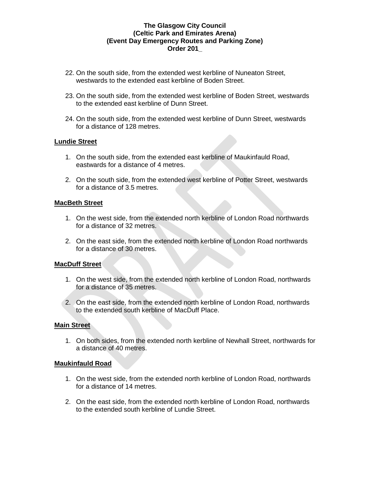- 22. On the south side, from the extended west kerbline of Nuneaton Street, westwards to the extended east kerbline of Boden Street.
- 23. On the south side, from the extended west kerbline of Boden Street, westwards to the extended east kerbline of Dunn Street.
- 24. On the south side, from the extended west kerbline of Dunn Street, westwards for a distance of 128 metres.

### **Lundie Street**

- 1. On the south side, from the extended east kerbline of Maukinfauld Road, eastwards for a distance of 4 metres.
- 2. On the south side, from the extended west kerbline of Potter Street, westwards for a distance of 3.5 metres.

#### **MacBeth Street**

- 1. On the west side, from the extended north kerbline of London Road northwards for a distance of 32 metres.
- 2. On the east side, from the extended north kerbline of London Road northwards for a distance of 30 metres.

## **MacDuff Street**

- 1. On the west side, from the extended north kerbline of London Road, northwards for a distance of 35 metres.
- 2. On the east side, from the extended north kerbline of London Road, northwards to the extended south kerbline of MacDuff Place.

#### **Main Street**

1. On both sides, from the extended north kerbline of Newhall Street, northwards for a distance of 40 metres.

## **Maukinfauld Road**

- 1. On the west side, from the extended north kerbline of London Road, northwards for a distance of 14 metres.
- 2. On the east side, from the extended north kerbline of London Road, northwards to the extended south kerbline of Lundie Street.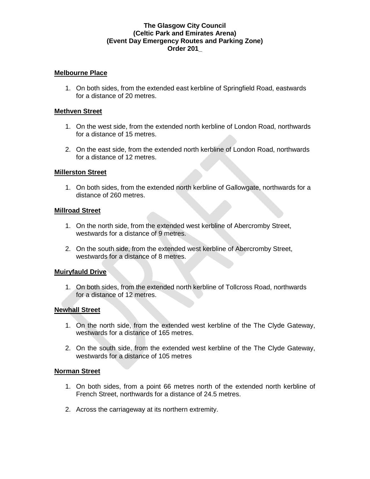### **Melbourne Place**

1. On both sides, from the extended east kerbline of Springfield Road, eastwards for a distance of 20 metres.

#### **Methven Street**

- 1. On the west side, from the extended north kerbline of London Road, northwards for a distance of 15 metres.
- 2. On the east side, from the extended north kerbline of London Road, northwards for a distance of 12 metres.

### **Millerston Street**

1. On both sides, from the extended north kerbline of Gallowgate, northwards for a distance of 260 metres.

#### **Millroad Street**

- 1. On the north side, from the extended west kerbline of Abercromby Street, westwards for a distance of 9 metres.
- 2. On the south side, from the extended west kerbline of Abercromby Street, westwards for a distance of 8 metres.

## **Muiryfauld Drive**

1. On both sides, from the extended north kerbline of Tollcross Road, northwards for a distance of 12 metres.

## **Newhall Street**

- 1. On the north side, from the extended west kerbline of the The Clyde Gateway, westwards for a distance of 165 metres.
- 2. On the south side, from the extended west kerbline of the The Clyde Gateway, westwards for a distance of 105 metres

#### **Norman Street**

- 1. On both sides, from a point 66 metres north of the extended north kerbline of French Street, northwards for a distance of 24.5 metres.
- 2. Across the carriageway at its northern extremity.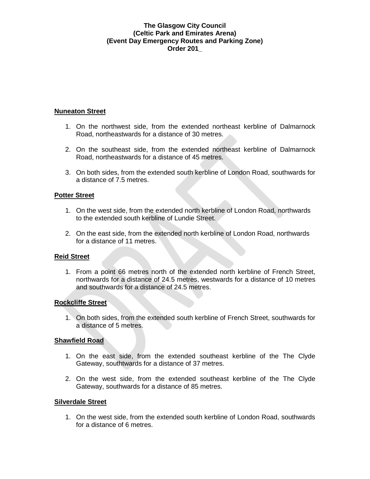### **Nuneaton Street**

- 1. On the northwest side, from the extended northeast kerbline of Dalmarnock Road, northeastwards for a distance of 30 metres.
- 2. On the southeast side, from the extended northeast kerbline of Dalmarnock Road, northeastwards for a distance of 45 metres.
- 3. On both sides, from the extended south kerbline of London Road, southwards for a distance of 7.5 metres.

### **Potter Street**

- 1. On the west side, from the extended north kerbline of London Road, northwards to the extended south kerbline of Lundie Street.
- 2. On the east side, from the extended north kerbline of London Road, northwards for a distance of 11 metres.

## **Reid Street**

1. From a point 66 metres north of the extended north kerbline of French Street, northwards for a distance of 24.5 metres, westwards for a distance of 10 metres and southwards for a distance of 24.5 metres.

## **Rockcliffe Street**

1. On both sides, from the extended south kerbline of French Street, southwards for a distance of 5 metres.

## **Shawfield Road**

- 1. On the east side, from the extended southeast kerbline of the The Clyde Gateway, southtwards for a distance of 37 metres.
- 2. On the west side, from the extended southeast kerbline of the The Clyde Gateway, southwards for a distance of 85 metres.

#### **Silverdale Street**

1. On the west side, from the extended south kerbline of London Road, southwards for a distance of 6 metres.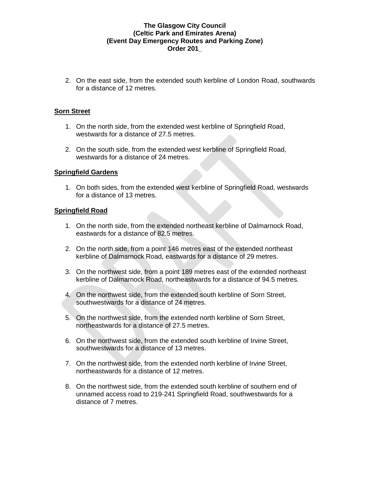2. On the east side, from the extended south kerbline of London Road, southwards for a distance of 12 metres.

### **Sorn Street**

- 1. On the north side, from the extended west kerbline of Springfield Road, westwards for a distance of 27.5 metres.
- 2. On the south side, from the extended west kerbline of Springfield Road, westwards for a distance of 24 metres.

#### **Springfield Gardens**

1. On both sides, from the extended west kerbline of Springfield Road, westwards for a distance of 13 metres.

#### **Springfield Road**

- 1. On the north side, from the extended northeast kerbline of Dalmarnock Road, eastwards for a distance of 82.5 metres.
- 2. On the north side, from a point 146 metres east of the extended northeast kerbline of Dalmarnock Road, eastwards for a distance of 29 metres.
- 3. On the northwest side, from a point 189 metres east of the extended northeast kerbline of Dalmarnock Road, northeastwards for a distance of 94.5 metres.
- 4. On the northwest side, from the extended south kerbline of Sorn Street, southwestwards for a distance of 24 metres.
- 5. On the northwest side, from the extended north kerbline of Sorn Street, northeastwards for a distance of 27.5 metres.
- 6. On the northwest side, from the extended south kerbline of Irvine Street, southwestwards for a distance of 13 metres.
- 7. On the northwest side, from the extended north kerbline of Irvine Street, northeastwards for a distance of 12 metres.
- 8. On the northwest side, from the extended south kerbline of southern end of unnamed access road to 219-241 Springfield Road, southwestwards for a distance of 7 metres.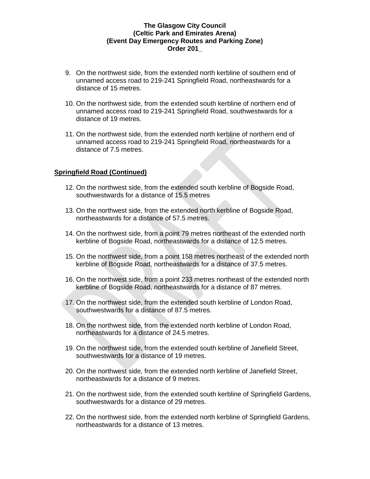- 9. On the northwest side, from the extended north kerbline of southern end of unnamed access road to 219-241 Springfield Road, northeastwards for a distance of 15 metres.
- 10. On the northwest side, from the extended south kerbline of northern end of unnamed access road to 219-241 Springfield Road, southwestwards for a distance of 19 metres.
- 11. On the northwest side, from the extended north kerbline of northern end of unnamed access road to 219-241 Springfield Road, northeastwards for a distance of 7.5 metres.

### **Springfield Road (Continued)**

- 12. On the northwest side, from the extended south kerbline of Bogside Road, southwestwards for a distance of 15.5 metres
- 13. On the northwest side, from the extended north kerbline of Bogside Road, northeastwards for a distance of 57.5 metres.
- 14. On the northwest side, from a point 79 metres northeast of the extended north kerbline of Bogside Road, northeastwards for a distance of 12.5 metres.
- 15. On the northwest side, from a point 158 metres northeast of the extended north kerbline of Bogside Road, northeastwards for a distance of 37.5 metres.
- 16. On the northwest side, from a point 233 metres northeast of the extended north kerbline of Bogside Road, northeastwards for a distance of 87 metres.
- 17. On the northwest side, from the extended south kerbline of London Road, southwestwards for a distance of 87.5 metres.
- 18. On the northwest side, from the extended north kerbline of London Road, northeastwards for a distance of 24.5 metres.
- 19. On the northwest side, from the extended south kerbline of Janefield Street, southwestwards for a distance of 19 metres.
- 20. On the northwest side, from the extended north kerbline of Janefield Street, northeastwards for a distance of 9 metres.
- 21. On the northwest side, from the extended south kerbline of Springfield Gardens, southwestwards for a distance of 29 metres.
- 22. On the northwest side, from the extended north kerbline of Springfield Gardens, northeastwards for a distance of 13 metres.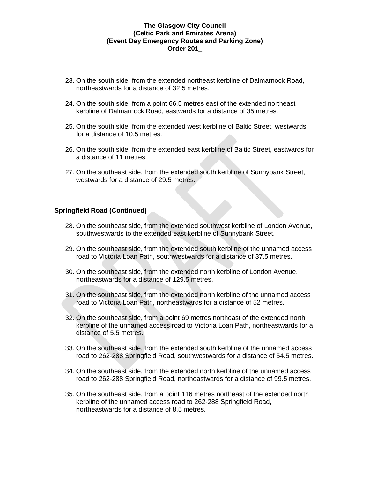- 23. On the south side, from the extended northeast kerbline of Dalmarnock Road, northeastwards for a distance of 32.5 metres.
- 24. On the south side, from a point 66.5 metres east of the extended northeast kerbline of Dalmarnock Road, eastwards for a distance of 35 metres.
- 25. On the south side, from the extended west kerbline of Baltic Street, westwards for a distance of 10.5 metres.
- 26. On the south side, from the extended east kerbline of Baltic Street, eastwards for a distance of 11 metres.
- 27. On the southeast side, from the extended south kerbline of Sunnybank Street, westwards for a distance of 29.5 metres.

#### **Springfield Road (Continued)**

- 28. On the southeast side, from the extended southwest kerbline of London Avenue, southwestwards to the extended east kerbline of Sunnybank Street.
- 29. On the southeast side, from the extended south kerbline of the unnamed access road to Victoria Loan Path, southwestwards for a distance of 37.5 metres.
- 30. On the southeast side, from the extended north kerbline of London Avenue, northeastwards for a distance of 129.5 metres.
- 31. On the southeast side, from the extended north kerbline of the unnamed access road to Victoria Loan Path, northeastwards for a distance of 52 metres.
- 32. On the southeast side, from a point 69 metres northeast of the extended north kerbline of the unnamed access road to Victoria Loan Path, northeastwards for a distance of 5.5 metres.
- 33. On the southeast side, from the extended south kerbline of the unnamed access road to 262-288 Springfield Road, southwestwards for a distance of 54.5 metres.
- 34. On the southeast side, from the extended north kerbline of the unnamed access road to 262-288 Springfield Road, northeastwards for a distance of 99.5 metres.
- 35. On the southeast side, from a point 116 metres northeast of the extended north kerbline of the unnamed access road to 262-288 Springfield Road, northeastwards for a distance of 8.5 metres.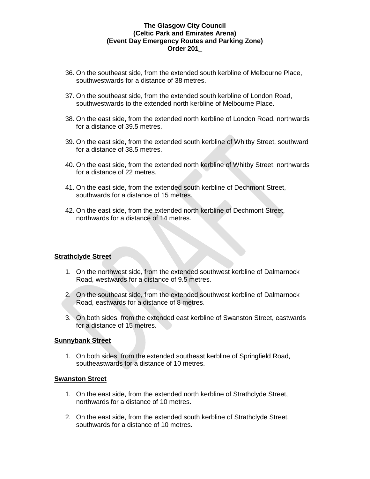- 36. On the southeast side, from the extended south kerbline of Melbourne Place, southwestwards for a distance of 38 metres.
- 37. On the southeast side, from the extended south kerbline of London Road, southwestwards to the extended north kerbline of Melbourne Place.
- 38. On the east side, from the extended north kerbline of London Road, northwards for a distance of 39.5 metres.
- 39. On the east side, from the extended south kerbline of Whitby Street, southward for a distance of 38.5 metres.
- 40. On the east side, from the extended north kerbline of Whitby Street, northwards for a distance of 22 metres.
- 41. On the east side, from the extended south kerbline of Dechmont Street, southwards for a distance of 15 metres.
- 42. On the east side, from the extended north kerbline of Dechmont Street, northwards for a distance of 14 metres.

#### **Strathclyde Street**

- 1. On the northwest side, from the extended southwest kerbline of Dalmarnock Road, westwards for a distance of 9.5 metres.
- 2. On the southeast side, from the extended southwest kerbline of Dalmarnock Road, eastwards for a distance of 8 metres.
- 3. On both sides, from the extended east kerbline of Swanston Street, eastwards for a distance of 15 metres.

#### **Sunnybank Street**

1. On both sides, from the extended southeast kerbline of Springfield Road, southeastwards for a distance of 10 metres.

## **Swanston Street**

- 1. On the east side, from the extended north kerbline of Strathclyde Street, northwards for a distance of 10 metres.
- 2. On the east side, from the extended south kerbline of Strathclyde Street, southwards for a distance of 10 metres.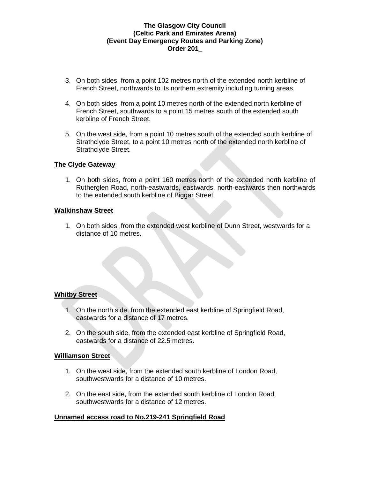- 3. On both sides, from a point 102 metres north of the extended north kerbline of French Street, northwards to its northern extremity including turning areas.
- 4. On both sides, from a point 10 metres north of the extended north kerbline of French Street, southwards to a point 15 metres south of the extended south kerbline of French Street.
- 5. On the west side, from a point 10 metres south of the extended south kerbline of Strathclyde Street, to a point 10 metres north of the extended north kerbline of Strathclyde Street.

### **The Clyde Gateway**

1. On both sides, from a point 160 metres north of the extended north kerbline of Rutherglen Road, north-eastwards, eastwards, north-eastwards then northwards to the extended south kerbline of Biggar Street.

#### **Walkinshaw Street**

1. On both sides, from the extended west kerbline of Dunn Street, westwards for a distance of 10 metres.

#### **Whitby Street**

- 1. On the north side, from the extended east kerbline of Springfield Road, eastwards for a distance of 17 metres.
- 2. On the south side, from the extended east kerbline of Springfield Road, eastwards for a distance of 22.5 metres.

#### **Williamson Street**

- 1. On the west side, from the extended south kerbline of London Road, southwestwards for a distance of 10 metres.
- 2. On the east side, from the extended south kerbline of London Road, southwestwards for a distance of 12 metres.

#### **Unnamed access road to No.219-241 Springfield Road**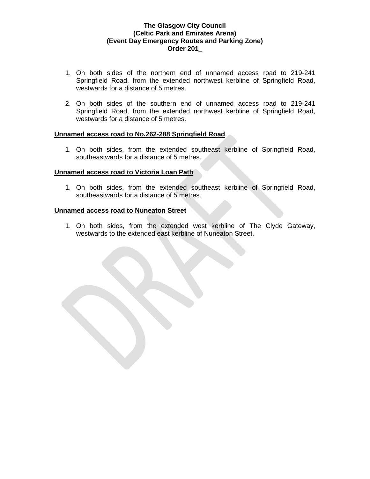- 1. On both sides of the northern end of unnamed access road to 219-241 Springfield Road, from the extended northwest kerbline of Springfield Road, westwards for a distance of 5 metres.
- 2. On both sides of the southern end of unnamed access road to 219-241 Springfield Road, from the extended northwest kerbline of Springfield Road, westwards for a distance of 5 metres.

#### **Unnamed access road to No.262-288 Springfield Road**

1. On both sides, from the extended southeast kerbline of Springfield Road, southeastwards for a distance of 5 metres.

#### **Unnamed access road to Victoria Loan Path**

1. On both sides, from the extended southeast kerbline of Springfield Road, southeastwards for a distance of 5 metres.

#### **Unnamed access road to Nuneaton Street**

1. On both sides, from the extended west kerbline of The Clyde Gateway, westwards to the extended east kerbline of Nuneaton Street.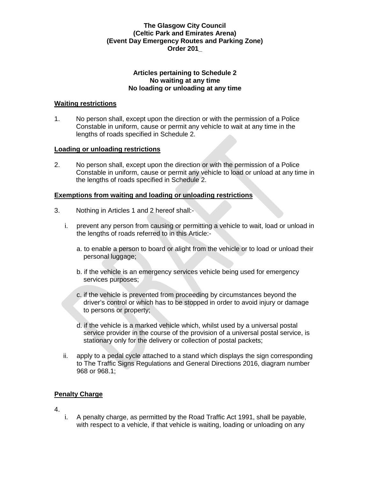#### **Articles pertaining to Schedule 2 No waiting at any time No loading or unloading at any time**

### **Waiting restrictions**

1. No person shall, except upon the direction or with the permission of a Police Constable in uniform, cause or permit any vehicle to wait at any time in the lengths of roads specified in Schedule 2.

### **Loading or unloading restrictions**

2. No person shall, except upon the direction or with the permission of a Police Constable in uniform, cause or permit any vehicle to load or unload at any time in the lengths of roads specified in Schedule 2.

### **Exemptions from waiting and loading or unloading restrictions**

- 3. Nothing in Articles 1 and 2 hereof shall:
	- i. prevent any person from causing or permitting a vehicle to wait, load or unload in the lengths of roads referred to in this Article:
		- a. to enable a person to board or alight from the vehicle or to load or unload their personal luggage;
		- b. if the vehicle is an emergency services vehicle being used for emergency services purposes;
		- c. if the vehicle is prevented from proceeding by circumstances beyond the driver's control or which has to be stopped in order to avoid injury or damage to persons or property;
		- d. if the vehicle is a marked vehicle which, whilst used by a universal postal service provider in the course of the provision of a universal postal service, is stationary only for the delivery or collection of postal packets;
	- ii. apply to a pedal cycle attached to a stand which displays the sign corresponding to The Traffic Signs Regulations and General Directions 2016, diagram number 968 or 968.1;

## **Penalty Charge**

- 4.
- i. A penalty charge, as permitted by the Road Traffic Act 1991, shall be payable, with respect to a vehicle, if that vehicle is waiting, loading or unloading on any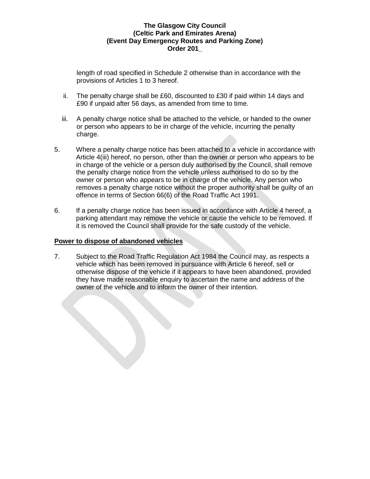length of road specified in Schedule 2 otherwise than in accordance with the provisions of Articles 1 to 3 hereof.

- ii. The penalty charge shall be £60, discounted to £30 if paid within 14 days and £90 if unpaid after 56 days, as amended from time to time.
- iii. A penalty charge notice shall be attached to the vehicle, or handed to the owner or person who appears to be in charge of the vehicle, incurring the penalty charge.
- 5. Where a penalty charge notice has been attached to a vehicle in accordance with Article 4(iii) hereof, no person, other than the owner or person who appears to be in charge of the vehicle or a person duly authorised by the Council, shall remove the penalty charge notice from the vehicle unless authorised to do so by the owner or person who appears to be in charge of the vehicle. Any person who removes a penalty charge notice without the proper authority shall be guilty of an offence in terms of Section 66(6) of the Road Traffic Act 1991.
- 6. If a penalty charge notice has been issued in accordance with Article 4 hereof, a parking attendant may remove the vehicle or cause the vehicle to be removed. If it is removed the Council shall provide for the safe custody of the vehicle.

### **Power to dispose of abandoned vehicles**

7. Subject to the Road Traffic Regulation Act 1984 the Council may, as respects a vehicle which has been removed in pursuance with Article 6 hereof, sell or otherwise dispose of the vehicle if it appears to have been abandoned, provided they have made reasonable enquiry to ascertain the name and address of the owner of the vehicle and to inform the owner of their intention.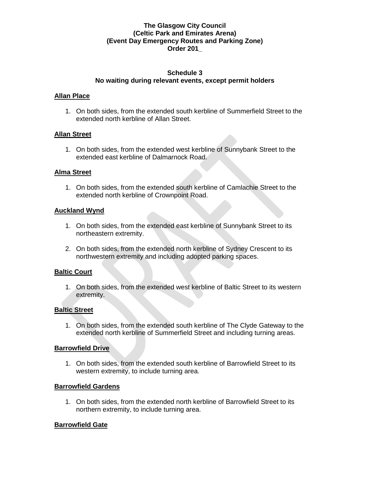### **Schedule 3 No waiting during relevant events, except permit holders**

### **Allan Place**

1. On both sides, from the extended south kerbline of Summerfield Street to the extended north kerbline of Allan Street.

#### **Allan Street**

1. On both sides, from the extended west kerbline of Sunnybank Street to the extended east kerbline of Dalmarnock Road.

#### **Alma Street**

1. On both sides, from the extended south kerbline of Camlachie Street to the extended north kerbline of Crownpoint Road.

#### **Auckland Wynd**

- 1. On both sides, from the extended east kerbline of Sunnybank Street to its northeastern extremity.
- 2. On both sides, from the extended north kerbline of Sydney Crescent to its northwestern extremity and including adopted parking spaces.

## **Baltic Court**

1. On both sides, from the extended west kerbline of Baltic Street to its western extremity.

## **Baltic Street**

1. On both sides, from the extended south kerbline of The Clyde Gateway to the extended north kerbline of Summerfield Street and including turning areas.

#### **Barrowfield Drive**

1. On both sides, from the extended south kerbline of Barrowfield Street to its western extremity, to include turning area.

#### **Barrowfield Gardens**

1. On both sides, from the extended north kerbline of Barrowfield Street to its northern extremity, to include turning area.

## **Barrowfield Gate**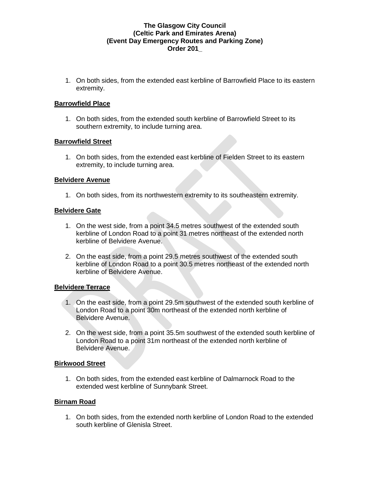1. On both sides, from the extended east kerbline of Barrowfield Place to its eastern extremity.

### **Barrowfield Place**

1. On both sides, from the extended south kerbline of Barrowfield Street to its southern extremity, to include turning area.

### **Barrowfield Street**

1. On both sides, from the extended east kerbline of Fielden Street to its eastern extremity, to include turning area.

#### **Belvidere Avenue**

1. On both sides, from its northwestern extremity to its southeastern extremity.

### **Belvidere Gate**

- 1. On the west side, from a point 34.5 metres southwest of the extended south kerbline of London Road to a point 31 metres northeast of the extended north kerbline of Belvidere Avenue.
- 2. On the east side, from a point 29.5 metres southwest of the extended south kerbline of London Road to a point 30.5 metres northeast of the extended north kerbline of Belvidere Avenue.

## **Belvidere Terrace**

- 1. On the east side, from a point 29.5m southwest of the extended south kerbline of London Road to a point 30m northeast of the extended north kerbline of Belvidere Avenue.
- 2. On the west side, from a point 35.5m southwest of the extended south kerbline of London Road to a point 31m northeast of the extended north kerbline of Belvidere Avenue.

#### **Birkwood Street**

1. On both sides, from the extended east kerbline of Dalmarnock Road to the extended west kerbline of Sunnybank Street.

#### **Birnam Road**

1. On both sides, from the extended north kerbline of London Road to the extended south kerbline of Glenisla Street.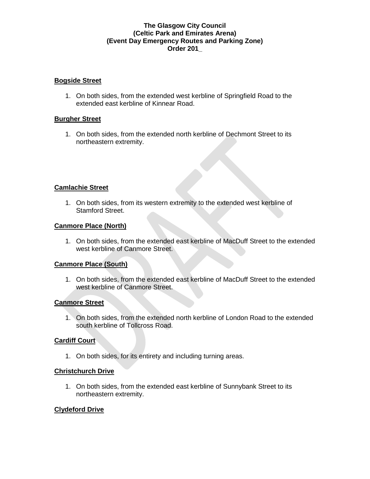### **Bogside Street**

1. On both sides, from the extended west kerbline of Springfield Road to the extended east kerbline of Kinnear Road.

### **Burgher Street**

1. On both sides, from the extended north kerbline of Dechmont Street to its northeastern extremity.

## **Camlachie Street**

1. On both sides, from its western extremity to the extended west kerbline of Stamford Street.

# **Canmore Place (North)**

1. On both sides, from the extended east kerbline of MacDuff Street to the extended west kerbline of Canmore Street.

## **Canmore Place (South)**

1. On both sides, from the extended east kerbline of MacDuff Street to the extended west kerbline of Canmore Street.

#### **Canmore Street**

1. On both sides, from the extended north kerbline of London Road to the extended south kerbline of Tollcross Road.

#### **Cardiff Court**

1. On both sides, for its entirety and including turning areas.

#### **Christchurch Drive**

1. On both sides, from the extended east kerbline of Sunnybank Street to its northeastern extremity.

#### **Clydeford Drive**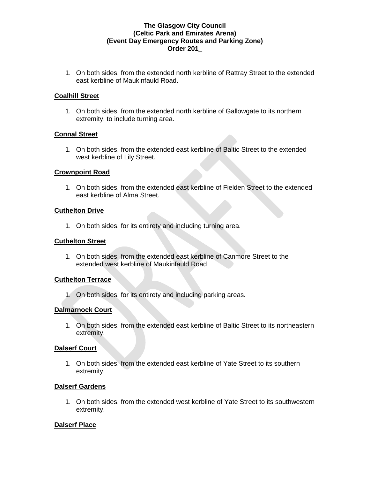1. On both sides, from the extended north kerbline of Rattray Street to the extended east kerbline of Maukinfauld Road.

### **Coalhill Street**

1. On both sides, from the extended north kerbline of Gallowgate to its northern extremity, to include turning area.

### **Connal Street**

1. On both sides, from the extended east kerbline of Baltic Street to the extended west kerbline of Lily Street.

### **Crownpoint Road**

1. On both sides, from the extended east kerbline of Fielden Street to the extended east kerbline of Alma Street.

### **Cuthelton Drive**

1. On both sides, for its entirety and including turning area.

### **Cuthelton Street**

1. On both sides, from the extended east kerbline of Canmore Street to the extended west kerbline of Maukinfauld Road

## **Cuthelton Terrace**

1. On both sides, for its entirety and including parking areas.

## **Dalmarnock Court**

1. On both sides, from the extended east kerbline of Baltic Street to its northeastern extremity.

## **Dalserf Court**

1. On both sides, from the extended east kerbline of Yate Street to its southern extremity.

## **Dalserf Gardens**

1. On both sides, from the extended west kerbline of Yate Street to its southwestern extremity.

## **Dalserf Place**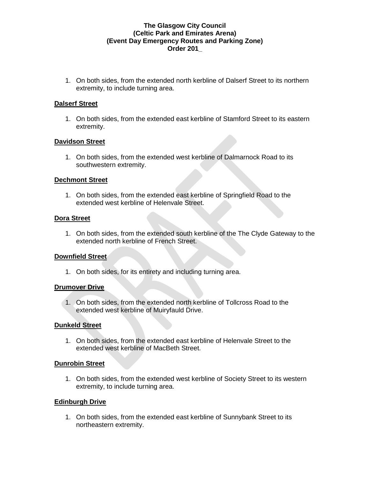1. On both sides, from the extended north kerbline of Dalserf Street to its northern extremity, to include turning area.

### **Dalserf Street**

1. On both sides, from the extended east kerbline of Stamford Street to its eastern extremity.

### **Davidson Street**

1. On both sides, from the extended west kerbline of Dalmarnock Road to its southwestern extremity.

#### **Dechmont Street**

1. On both sides, from the extended east kerbline of Springfield Road to the extended west kerbline of Helenvale Street.

### **Dora Street**

1. On both sides, from the extended south kerbline of the The Clyde Gateway to the extended north kerbline of French Street.

## **Downfield Street**

1. On both sides, for its entirety and including turning area.

#### **Drumover Drive**

1. On both sides, from the extended north kerbline of Tollcross Road to the extended west kerbline of Muiryfauld Drive.

#### **Dunkeld Street**

1. On both sides, from the extended east kerbline of Helenvale Street to the extended west kerbline of MacBeth Street.

#### **Dunrobin Street**

1. On both sides, from the extended west kerbline of Society Street to its western extremity, to include turning area.

## **Edinburgh Drive**

1. On both sides, from the extended east kerbline of Sunnybank Street to its northeastern extremity.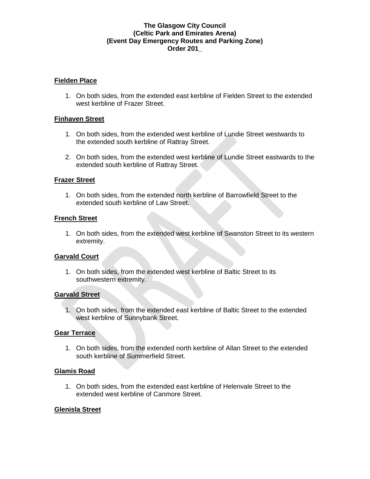### **Fielden Place**

1. On both sides, from the extended east kerbline of Fielden Street to the extended west kerbline of Frazer Street.

### **Finhaven Street**

- 1. On both sides, from the extended west kerbline of Lundie Street westwards to the extended south kerbline of Rattray Street.
- 2. On both sides, from the extended west kerbline of Lundie Street eastwards to the extended south kerbline of Rattray Street.

### **Frazer Street**

1. On both sides, from the extended north kerbline of Barrowfield Street to the extended south kerbline of Law Street.

### **French Street**

1. On both sides, from the extended west kerbline of Swanston Street to its western extremity.

## **Garvald Court**

1. On both sides, from the extended west kerbline of Baltic Street to its southwestern extremity.

#### **Garvald Street**

1. On both sides, from the extended east kerbline of Baltic Street to the extended west kerbline of Sunnybank Street.

#### **Gear Terrace**

1. On both sides, from the extended north kerbline of Allan Street to the extended south kerbline of Summerfield Street.

#### **Glamis Road**

1. On both sides, from the extended east kerbline of Helenvale Street to the extended west kerbline of Canmore Street.

#### **Glenisla Street**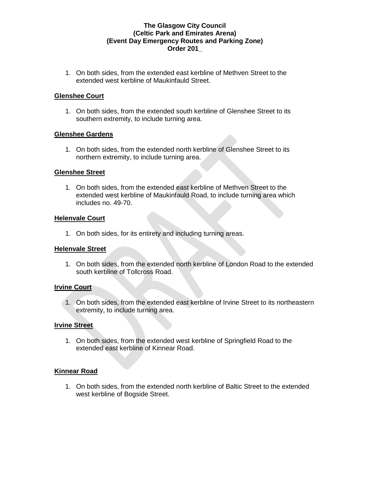1. On both sides, from the extended east kerbline of Methven Street to the extended west kerbline of Maukinfauld Street.

### **Glenshee Court**

1. On both sides, from the extended south kerbline of Glenshee Street to its southern extremity, to include turning area.

### **Glenshee Gardens**

1. On both sides, from the extended north kerbline of Glenshee Street to its northern extremity, to include turning area.

#### **Glenshee Street**

1. On both sides, from the extended east kerbline of Methven Street to the extended west kerbline of Maukinfauld Road, to include turning area which includes no. 49-70.

### **Helenvale Court**

1. On both sides, for its entirety and including turning areas.

#### **Helenvale Street**

1. On both sides, from the extended north kerbline of London Road to the extended south kerbline of Tollcross Road.

#### **Irvine Court**

1. On both sides, from the extended east kerbline of Irvine Street to its northeastern extremity, to include turning area.

#### **Irvine Street**

1. On both sides, from the extended west kerbline of Springfield Road to the extended east kerbline of Kinnear Road.

#### **Kinnear Road**

1. On both sides, from the extended north kerbline of Baltic Street to the extended west kerbline of Bogside Street.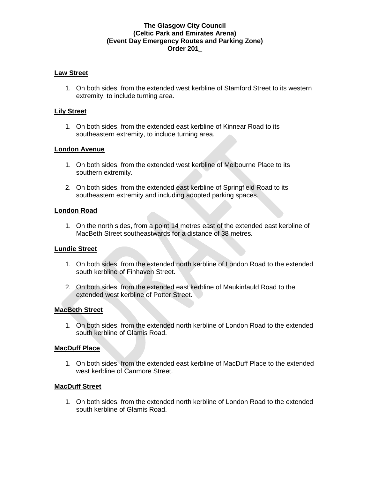### **Law Street**

1. On both sides, from the extended west kerbline of Stamford Street to its western extremity, to include turning area.

### **Lily Street**

1. On both sides, from the extended east kerbline of Kinnear Road to its southeastern extremity, to include turning area.

### **London Avenue**

- 1. On both sides, from the extended west kerbline of Melbourne Place to its southern extremity.
- 2. On both sides, from the extended east kerbline of Springfield Road to its southeastern extremity and including adopted parking spaces.

#### **London Road**

1. On the north sides, from a point 14 metres east of the extended east kerbline of MacBeth Street southeastwards for a distance of 38 metres.

#### **Lundie Street**

- 1. On both sides, from the extended north kerbline of London Road to the extended south kerbline of Finhaven Street.
- 2. On both sides, from the extended east kerbline of Maukinfauld Road to the extended west kerbline of Potter Street.

#### **MacBeth Street**

1. On both sides, from the extended north kerbline of London Road to the extended south kerbline of Glamis Road.

## **MacDuff Place**

1. On both sides, from the extended east kerbline of MacDuff Place to the extended west kerbline of Canmore Street.

#### **MacDuff Street**

1. On both sides, from the extended north kerbline of London Road to the extended south kerbline of Glamis Road.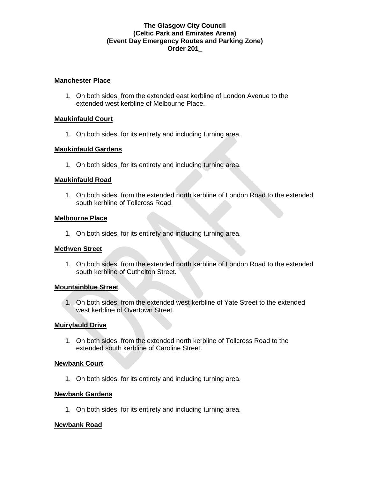#### **Manchester Place**

1. On both sides, from the extended east kerbline of London Avenue to the extended west kerbline of Melbourne Place.

### **Maukinfauld Court**

1. On both sides, for its entirety and including turning area.

### **Maukinfauld Gardens**

1. On both sides, for its entirety and including turning area.

### **Maukinfauld Road**

1. On both sides, from the extended north kerbline of London Road to the extended south kerbline of Tollcross Road.

### **Melbourne Place**

1. On both sides, for its entirety and including turning area.

#### **Methven Street**

1. On both sides, from the extended north kerbline of London Road to the extended south kerbline of Cuthelton Street.

## **Mountainblue Street**

1. On both sides, from the extended west kerbline of Yate Street to the extended west kerbline of Overtown Street.

#### **Muiryfauld Drive**

1. On both sides, from the extended north kerbline of Tollcross Road to the extended south kerbline of Caroline Street.

## **Newbank Court**

1. On both sides, for its entirety and including turning area.

#### **Newbank Gardens**

1. On both sides, for its entirety and including turning area.

#### **Newbank Road**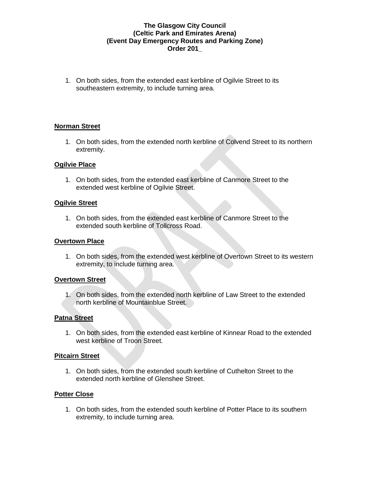1. On both sides, from the extended east kerbline of Ogilvie Street to its southeastern extremity, to include turning area.

## **Norman Street**

1. On both sides, from the extended north kerbline of Colvend Street to its northern extremity.

### **Ogilvie Place**

1. On both sides, from the extended east kerbline of Canmore Street to the extended west kerbline of Ogilvie Street.

#### **Ogilvie Street**

1. On both sides, from the extended east kerbline of Canmore Street to the extended south kerbline of Tollcross Road.

## **Overtown Place**

1. On both sides, from the extended west kerbline of Overtown Street to its western extremity, to include turning area.

## **Overtown Street**

1. On both sides, from the extended north kerbline of Law Street to the extended north kerbline of Mountainblue Street.

## **Patna Street**

1. On both sides, from the extended east kerbline of Kinnear Road to the extended west kerbline of Troon Street.

#### **Pitcairn Street**

1. On both sides, from the extended south kerbline of Cuthelton Street to the extended north kerbline of Glenshee Street.

#### **Potter Close**

1. On both sides, from the extended south kerbline of Potter Place to its southern extremity, to include turning area.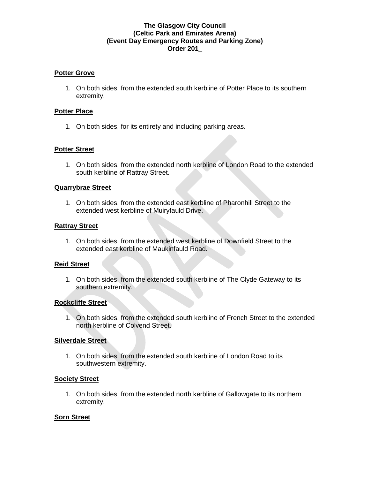### **Potter Grove**

1. On both sides, from the extended south kerbline of Potter Place to its southern extremity.

### **Potter Place**

1. On both sides, for its entirety and including parking areas.

## **Potter Street**

1. On both sides, from the extended north kerbline of London Road to the extended south kerbline of Rattray Street.

#### **Quarrybrae Street**

1. On both sides, from the extended east kerbline of Pharonhill Street to the extended west kerbline of Muiryfauld Drive.

#### **Rattray Street**

1. On both sides, from the extended west kerbline of Downfield Street to the extended east kerbline of Maukinfauld Road.

#### **Reid Street**

1. On both sides, from the extended south kerbline of The Clyde Gateway to its southern extremity.

#### **Rockcliffe Street**

1. On both sides, from the extended south kerbline of French Street to the extended north kerbline of Colvend Street.

#### **Silverdale Street**

1. On both sides, from the extended south kerbline of London Road to its southwestern extremity.

#### **Society Street**

1. On both sides, from the extended north kerbline of Gallowgate to its northern extremity.

## **Sorn Street**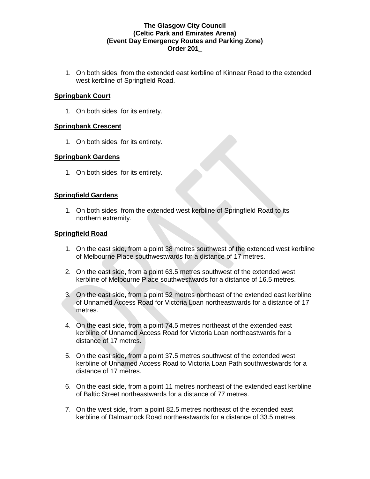1. On both sides, from the extended east kerbline of Kinnear Road to the extended west kerbline of Springfield Road.

### **Springbank Court**

1. On both sides, for its entirety.

### **Springbank Crescent**

1. On both sides, for its entirety.

### **Springbank Gardens**

1. On both sides, for its entirety.

### **Springfield Gardens**

1. On both sides, from the extended west kerbline of Springfield Road to its northern extremity.

### **Springfield Road**

- 1. On the east side, from a point 38 metres southwest of the extended west kerbline of Melbourne Place southwestwards for a distance of 17 metres.
- 2. On the east side, from a point 63.5 metres southwest of the extended west kerbline of Melbourne Place southwestwards for a distance of 16.5 metres.
- 3. On the east side, from a point 52 metres northeast of the extended east kerbline of Unnamed Access Road for Victoria Loan northeastwards for a distance of 17 metres.
- 4. On the east side, from a point 74.5 metres northeast of the extended east kerbline of Unnamed Access Road for Victoria Loan northeastwards for a distance of 17 metres.
- 5. On the east side, from a point 37.5 metres southwest of the extended west kerbline of Unnamed Access Road to Victoria Loan Path southwestwards for a distance of 17 metres.
- 6. On the east side, from a point 11 metres northeast of the extended east kerbline of Baltic Street northeastwards for a distance of 77 metres.
- 7. On the west side, from a point 82.5 metres northeast of the extended east kerbline of Dalmarnock Road northeastwards for a distance of 33.5 metres.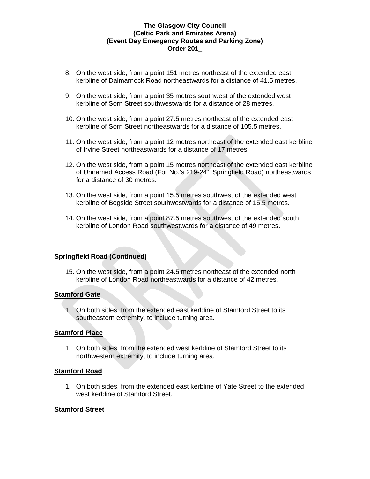- 8. On the west side, from a point 151 metres northeast of the extended east kerbline of Dalmarnock Road northeastwards for a distance of 41.5 metres.
- 9. On the west side, from a point 35 metres southwest of the extended west kerbline of Sorn Street southwestwards for a distance of 28 metres.
- 10. On the west side, from a point 27.5 metres northeast of the extended east kerbline of Sorn Street northeastwards for a distance of 105.5 metres.
- 11. On the west side, from a point 12 metres northeast of the extended east kerbline of Irvine Street northeastwards for a distance of 17 metres.
- 12. On the west side, from a point 15 metres northeast of the extended east kerbline of Unnamed Access Road (For No.'s 219-241 Springfield Road) northeastwards for a distance of 30 metres.
- 13. On the west side, from a point 15.5 metres southwest of the extended west kerbline of Bogside Street southwestwards for a distance of 15.5 metres.
- 14. On the west side, from a point 87.5 metres southwest of the extended south kerbline of London Road southwestwards for a distance of 49 metres.

## **Springfield Road (Continued)**

15. On the west side, from a point 24.5 metres northeast of the extended north kerbline of London Road northeastwards for a distance of 42 metres.

## **Stamford Gate**

1. On both sides, from the extended east kerbline of Stamford Street to its southeastern extremity, to include turning area.

## **Stamford Place**

1. On both sides, from the extended west kerbline of Stamford Street to its northwestern extremity, to include turning area.

## **Stamford Road**

1. On both sides, from the extended east kerbline of Yate Street to the extended west kerbline of Stamford Street.

#### **Stamford Street**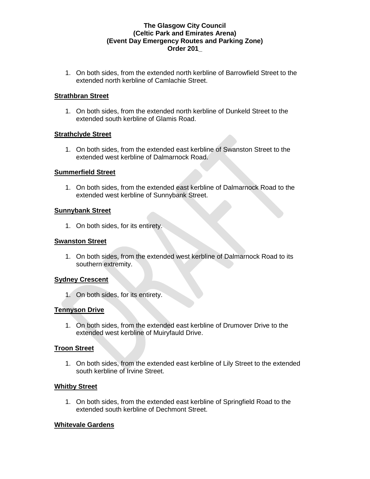1. On both sides, from the extended north kerbline of Barrowfield Street to the extended north kerbline of Camlachie Street.

### **Strathbran Street**

1. On both sides, from the extended north kerbline of Dunkeld Street to the extended south kerbline of Glamis Road.

### **Strathclyde Street**

1. On both sides, from the extended east kerbline of Swanston Street to the extended west kerbline of Dalmarnock Road.

### **Summerfield Street**

1. On both sides, from the extended east kerbline of Dalmarnock Road to the extended west kerbline of Sunnybank Street.

### **Sunnybank Street**

1. On both sides, for its entirety.

### **Swanston Street**

1. On both sides, from the extended west kerbline of Dalmarnock Road to its southern extremity.

## **Sydney Crescent**

1. On both sides, for its entirety.

## **Tennyson Drive**

1. On both sides, from the extended east kerbline of Drumover Drive to the extended west kerbline of Muiryfauld Drive.

## **Troon Street**

1. On both sides, from the extended east kerbline of Lily Street to the extended south kerbline of Irvine Street.

## **Whitby Street**

1. On both sides, from the extended east kerbline of Springfield Road to the extended south kerbline of Dechmont Street.

## **Whitevale Gardens**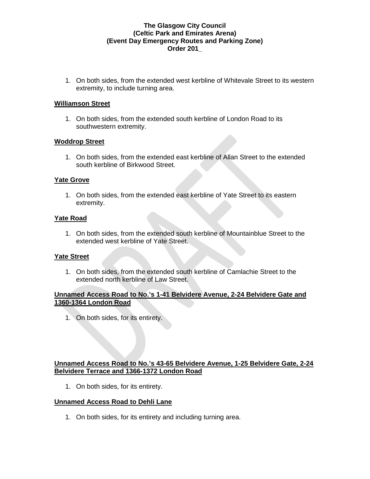1. On both sides, from the extended west kerbline of Whitevale Street to its western extremity, to include turning area.

### **Williamson Street**

1. On both sides, from the extended south kerbline of London Road to its southwestern extremity.

### **Woddrop Street**

1. On both sides, from the extended east kerbline of Allan Street to the extended south kerbline of Birkwood Street.

### **Yate Grove**

1. On both sides, from the extended east kerbline of Yate Street to its eastern extremity.

### **Yate Road**

1. On both sides, from the extended south kerbline of Mountainblue Street to the extended west kerbline of Yate Street.

## **Yate Street**

1. On both sides, from the extended south kerbline of Camlachie Street to the extended north kerbline of Law Street.

### **Unnamed Access Road to No.'s 1-41 Belvidere Avenue, 2-24 Belvidere Gate and 1360-1364 London Road**

1. On both sides, for its entirety.

# **Unnamed Access Road to No.'s 43-65 Belvidere Avenue, 1-25 Belvidere Gate, 2-24 Belvidere Terrace and 1366-1372 London Road**

1. On both sides, for its entirety.

## **Unnamed Access Road to Dehli Lane**

1. On both sides, for its entirety and including turning area.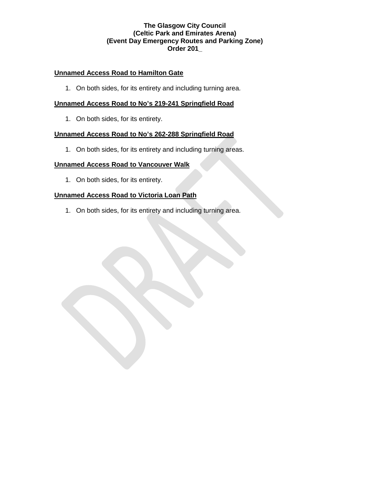## **Unnamed Access Road to Hamilton Gate**

1. On both sides, for its entirety and including turning area.

## **Unnamed Access Road to No's 219-241 Springfield Road**

1. On both sides, for its entirety.

# **Unnamed Access Road to No's 262-288 Springfield Road**

1. On both sides, for its entirety and including turning areas.

# **Unnamed Access Road to Vancouver Walk**

1. On both sides, for its entirety.

# **Unnamed Access Road to Victoria Loan Path**

1. On both sides, for its entirety and including turning area.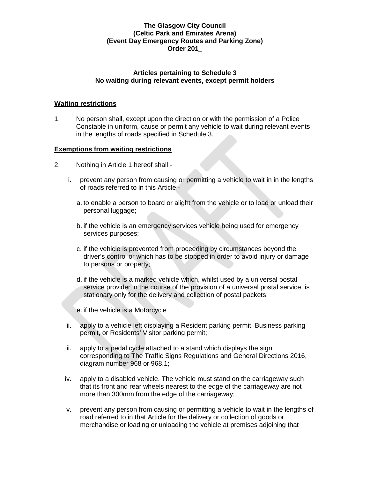### **Articles pertaining to Schedule 3 No waiting during relevant events, except permit holders**

### **Waiting restrictions**

1. No person shall, except upon the direction or with the permission of a Police Constable in uniform, cause or permit any vehicle to wait during relevant events in the lengths of roads specified in Schedule 3.

### **Exemptions from waiting restrictions**

- 2. Nothing in Article 1 hereof shall:
	- i. prevent any person from causing or permitting a vehicle to wait in in the lengths of roads referred to in this Article:
		- a. to enable a person to board or alight from the vehicle or to load or unload their personal luggage;
		- b. if the vehicle is an emergency services vehicle being used for emergency services purposes;
		- c. if the vehicle is prevented from proceeding by circumstances beyond the driver's control or which has to be stopped in order to avoid injury or damage to persons or property;
		- d. if the vehicle is a marked vehicle which, whilst used by a universal postal service provider in the course of the provision of a universal postal service, is stationary only for the delivery and collection of postal packets;
		- e. if the vehicle is a Motorcycle
	- ii. apply to a vehicle left displaying a Resident parking permit, Business parking permit, or Residents' Visitor parking permit;
	- iii. apply to a pedal cycle attached to a stand which displays the sign corresponding to The Traffic Signs Regulations and General Directions 2016, diagram number 968 or 968.1;
	- iv. apply to a disabled vehicle. The vehicle must stand on the carriageway such that its front and rear wheels nearest to the edge of the carriageway are not more than 300mm from the edge of the carriageway;
	- v. prevent any person from causing or permitting a vehicle to wait in the lengths of road referred to in that Article for the delivery or collection of goods or merchandise or loading or unloading the vehicle at premises adjoining that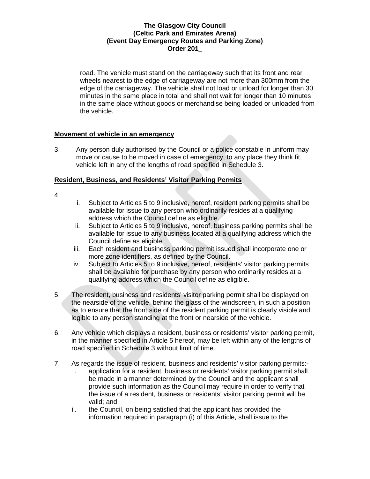road. The vehicle must stand on the carriageway such that its front and rear wheels nearest to the edge of carriageway are not more than 300mm from the edge of the carriageway. The vehicle shall not load or unload for longer than 30 minutes in the same place in total and shall not wait for longer than 10 minutes in the same place without goods or merchandise being loaded or unloaded from the vehicle.

## **Movement of vehicle in an emergency**

3. Any person duly authorised by the Council or a police constable in uniform may move or cause to be moved in case of emergency, to any place they think fit, vehicle left in any of the lengths of road specified in Schedule 3.

### **Resident, Business, and Residents' Visitor Parking Permits**

- 4.
- i. Subject to Articles 5 to 9 inclusive, hereof, resident parking permits shall be available for issue to any person who ordinarily resides at a qualifying address which the Council define as eligible.
- ii. Subject to Articles 5 to 9 inclusive, hereof, business parking permits shall be available for issue to any business located at a qualifying address which the Council define as eligible.
- iii. Each resident and business parking permit issued shall incorporate one or more zone identifiers, as defined by the Council.
- iv. Subject to Articles 5 to 9 inclusive, hereof, residents' visitor parking permits shall be available for purchase by any person who ordinarily resides at a qualifying address which the Council define as eligible.
- 5. The resident, business and residents' visitor parking permit shall be displayed on the nearside of the vehicle, behind the glass of the windscreen, in such a position as to ensure that the front side of the resident parking permit is clearly visible and legible to any person standing at the front or nearside of the vehicle.
- 6. Any vehicle which displays a resident, business or residents' visitor parking permit, in the manner specified in Article 5 hereof, may be left within any of the lengths of road specified in Schedule 3 without limit of time.
- 7. As regards the issue of resident, business and residents' visitor parking permits:
	- i. application for a resident, business or residents' visitor parking permit shall be made in a manner determined by the Council and the applicant shall provide such information as the Council may require in order to verify that the issue of a resident, business or residents' visitor parking permit will be valid; and
	- ii. the Council, on being satisfied that the applicant has provided the information required in paragraph (i) of this Article, shall issue to the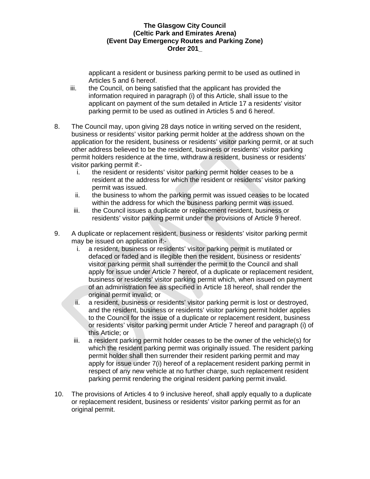applicant a resident or business parking permit to be used as outlined in Articles 5 and 6 hereof.

- iii. the Council, on being satisfied that the applicant has provided the information required in paragraph (i) of this Article, shall issue to the applicant on payment of the sum detailed in Article 17 a residents' visitor parking permit to be used as outlined in Articles 5 and 6 hereof.
- 8. The Council may, upon giving 28 days notice in writing served on the resident, business or residents' visitor parking permit holder at the address shown on the application for the resident, business or residents' visitor parking permit, or at such other address believed to be the resident, business or residents' visitor parking permit holders residence at the time, withdraw a resident, business or residents' visitor parking permit if:
	- i. the resident or residents' visitor parking permit holder ceases to be a resident at the address for which the resident or residents' visitor parking permit was issued.
	- ii. the business to whom the parking permit was issued ceases to be located within the address for which the business parking permit was issued.
	- iii. the Council issues a duplicate or replacement resident, business or residents' visitor parking permit under the provisions of Article 9 hereof.
- 9. A duplicate or replacement resident, business or residents' visitor parking permit may be issued on application if:
	- i. a resident, business or residents' visitor parking permit is mutilated or defaced or faded and is illegible then the resident, business or residents' visitor parking permit shall surrender the permit to the Council and shall apply for issue under Article 7 hereof, of a duplicate or replacement resident, business or residents' visitor parking permit which, when issued on payment of an administration fee as specified in Article 18 hereof, shall render the original permit invalid; or
	- ii. a resident, business or residents' visitor parking permit is lost or destroyed, and the resident, business or residents' visitor parking permit holder applies to the Council for the issue of a duplicate or replacement resident, business or residents' visitor parking permit under Article 7 hereof and paragraph (i) of this Article; or
	- iii. a resident parking permit holder ceases to be the owner of the vehicle(s) for which the resident parking permit was originally issued. The resident parking permit holder shall then surrender their resident parking permit and may apply for issue under 7(i) hereof of a replacement resident parking permit in respect of any new vehicle at no further charge, such replacement resident parking permit rendering the original resident parking permit invalid.
- 10. The provisions of Articles 4 to 9 inclusive hereof, shall apply equally to a duplicate or replacement resident, business or residents' visitor parking permit as for an original permit.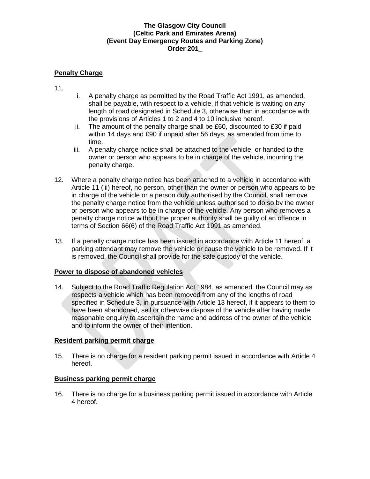# **Penalty Charge**

- 11.
- i. A penalty charge as permitted by the Road Traffic Act 1991, as amended, shall be payable, with respect to a vehicle, if that vehicle is waiting on any length of road designated in Schedule 3, otherwise than in accordance with the provisions of Articles 1 to 2 and 4 to 10 inclusive hereof.
- ii. The amount of the penalty charge shall be £60, discounted to £30 if paid within 14 days and £90 if unpaid after 56 days, as amended from time to time.
- iii. A penalty charge notice shall be attached to the vehicle, or handed to the owner or person who appears to be in charge of the vehicle, incurring the penalty charge.
- 12. Where a penalty charge notice has been attached to a vehicle in accordance with Article 11 (iii) hereof, no person, other than the owner or person who appears to be in charge of the vehicle or a person duly authorised by the Council, shall remove the penalty charge notice from the vehicle unless authorised to do so by the owner or person who appears to be in charge of the vehicle. Any person who removes a penalty charge notice without the proper authority shall be guilty of an offence in terms of Section 66(6) of the Road Traffic Act 1991 as amended.
- 13. If a penalty charge notice has been issued in accordance with Article 11 hereof, a parking attendant may remove the vehicle or cause the vehicle to be removed. If it is removed, the Council shall provide for the safe custody of the vehicle.

## **Power to dispose of abandoned vehicles**

14. Subject to the Road Traffic Regulation Act 1984, as amended, the Council may as respects a vehicle which has been removed from any of the lengths of road specified in Schedule 3, in pursuance with Article 13 hereof, if it appears to them to have been abandoned, sell or otherwise dispose of the vehicle after having made reasonable enquiry to ascertain the name and address of the owner of the vehicle and to inform the owner of their intention.

## **Resident parking permit charge**

15. There is no charge for a resident parking permit issued in accordance with Article 4 hereof.

#### **Business parking permit charge**

16. There is no charge for a business parking permit issued in accordance with Article 4 hereof.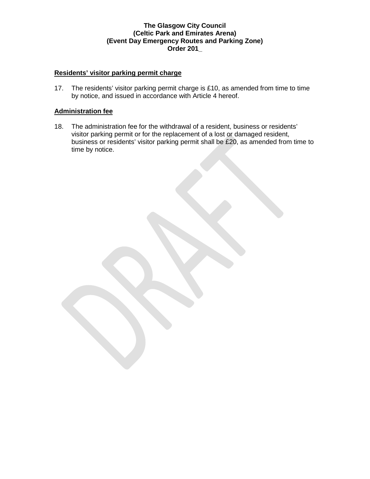# **Residents' visitor parking permit charge**

17. The residents' visitor parking permit charge is £10, as amended from time to time by notice, and issued in accordance with Article 4 hereof.

### **Administration fee**

18. The administration fee for the withdrawal of a resident, business or residents' visitor parking permit or for the replacement of a lost or damaged resident, business or residents' visitor parking permit shall be £20, as amended from time to time by notice.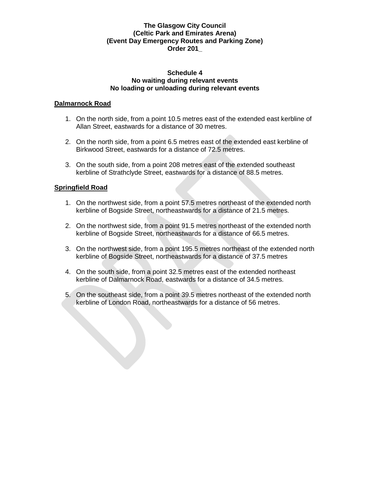#### **Schedule 4 No waiting during relevant events No loading or unloading during relevant events**

### **Dalmarnock Road**

- 1. On the north side, from a point 10.5 metres east of the extended east kerbline of Allan Street, eastwards for a distance of 30 metres.
- 2. On the north side, from a point 6.5 metres east of the extended east kerbline of Birkwood Street, eastwards for a distance of 72.5 metres.
- 3. On the south side, from a point 208 metres east of the extended southeast kerbline of Strathclyde Street, eastwards for a distance of 88.5 metres.

## **Springfield Road**

- 1. On the northwest side, from a point 57.5 metres northeast of the extended north kerbline of Bogside Street, northeastwards for a distance of 21.5 metres.
- 2. On the northwest side, from a point 91.5 metres northeast of the extended north kerbline of Bogside Street, northeastwards for a distance of 66.5 metres.
- 3. On the northwest side, from a point 195.5 metres northeast of the extended north kerbline of Bogside Street, northeastwards for a distance of 37.5 metres
- 4. On the south side, from a point 32.5 metres east of the extended northeast kerbline of Dalmarnock Road, eastwards for a distance of 34.5 metres.
- 5. On the southeast side, from a point 39.5 metres northeast of the extended north kerbline of London Road, northeastwards for a distance of 56 metres.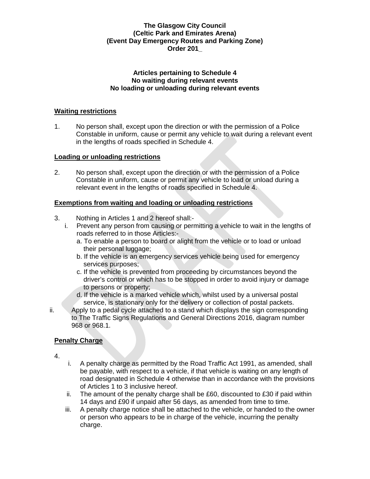#### **Articles pertaining to Schedule 4 No waiting during relevant events No loading or unloading during relevant events**

## **Waiting restrictions**

1. No person shall, except upon the direction or with the permission of a Police Constable in uniform, cause or permit any vehicle to wait during a relevant event in the lengths of roads specified in Schedule 4.

## **Loading or unloading restrictions**

2. No person shall, except upon the direction or with the permission of a Police Constable in uniform, cause or permit any vehicle to load or unload during a relevant event in the lengths of roads specified in Schedule 4.

# **Exemptions from waiting and loading or unloading restrictions**

- 3. Nothing in Articles 1 and 2 hereof shall:
	- i. Prevent any person from causing or permitting a vehicle to wait in the lengths of roads referred to in those Articles:
		- a. To enable a person to board or alight from the vehicle or to load or unload their personal luggage;
		- b. If the vehicle is an emergency services vehicle being used for emergency services purposes;
		- c. If the vehicle is prevented from proceeding by circumstances beyond the driver's control or which has to be stopped in order to avoid injury or damage to persons or property;
		- d. If the vehicle is a marked vehicle which, whilst used by a universal postal service, is stationary only for the delivery or collection of postal packets.
- ii. Apply to a pedal cycle attached to a stand which displays the sign corresponding to The Traffic Signs Regulations and General Directions 2016, diagram number 968 or 968.1.

# **Penalty Charge**

- 4.
- i. A penalty charge as permitted by the Road Traffic Act 1991, as amended, shall be payable, with respect to a vehicle, if that vehicle is waiting on any length of road designated in Schedule 4 otherwise than in accordance with the provisions of Articles 1 to 3 inclusive hereof.
- ii. The amount of the penalty charge shall be  $£60$ , discounted to  $£30$  if paid within 14 days and £90 if unpaid after 56 days, as amended from time to time.
- iii. A penalty charge notice shall be attached to the vehicle, or handed to the owner or person who appears to be in charge of the vehicle, incurring the penalty charge.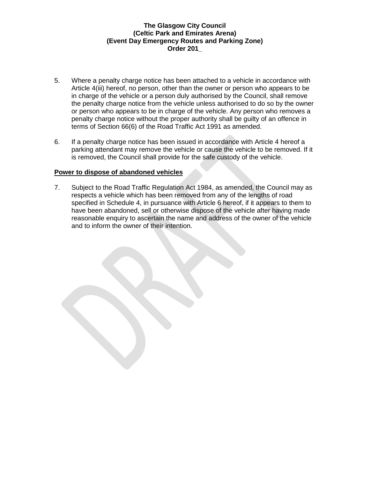- 5. Where a penalty charge notice has been attached to a vehicle in accordance with Article 4(iii) hereof, no person, other than the owner or person who appears to be in charge of the vehicle or a person duly authorised by the Council, shall remove the penalty charge notice from the vehicle unless authorised to do so by the owner or person who appears to be in charge of the vehicle. Any person who removes a penalty charge notice without the proper authority shall be guilty of an offence in terms of Section 66(6) of the Road Traffic Act 1991 as amended.
- 6. If a penalty charge notice has been issued in accordance with Article 4 hereof a parking attendant may remove the vehicle or cause the vehicle to be removed. If it is removed, the Council shall provide for the safe custody of the vehicle.

### **Power to dispose of abandoned vehicles**

7. Subject to the Road Traffic Regulation Act 1984, as amended, the Council may as respects a vehicle which has been removed from any of the lengths of road specified in Schedule 4, in pursuance with Article 6 hereof, if it appears to them to have been abandoned, sell or otherwise dispose of the vehicle after having made reasonable enquiry to ascertain the name and address of the owner of the vehicle and to inform the owner of their intention.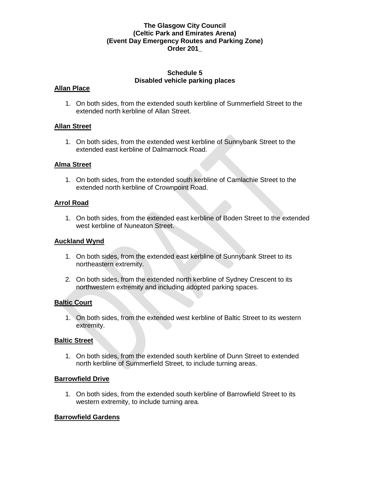### **Schedule 5 Disabled vehicle parking places**

### **Allan Place**

1. On both sides, from the extended south kerbline of Summerfield Street to the extended north kerbline of Allan Street.

### **Allan Street**

1. On both sides, from the extended west kerbline of Sunnybank Street to the extended east kerbline of Dalmarnock Road.

### **Alma Street**

1. On both sides, from the extended south kerbline of Camlachie Street to the extended north kerbline of Crownpoint Road.

### **Arrol Road**

1. On both sides, from the extended east kerbline of Boden Street to the extended west kerbline of Nuneaton Street.

### **Auckland Wynd**

- 1. On both sides, from the extended east kerbline of Sunnybank Street to its northeastern extremity.
- 2. On both sides, from the extended north kerbline of Sydney Crescent to its northwestern extremity and including adopted parking spaces.

## **Baltic Court**

1. On both sides, from the extended west kerbline of Baltic Street to its western extremity.

#### **Baltic Street**

1. On both sides, from the extended south kerbline of Dunn Street to extended north kerbline of Summerfield Street, to include turning areas.

#### **Barrowfield Drive**

1. On both sides, from the extended south kerbline of Barrowfield Street to its western extremity, to include turning area.

## **Barrowfield Gardens**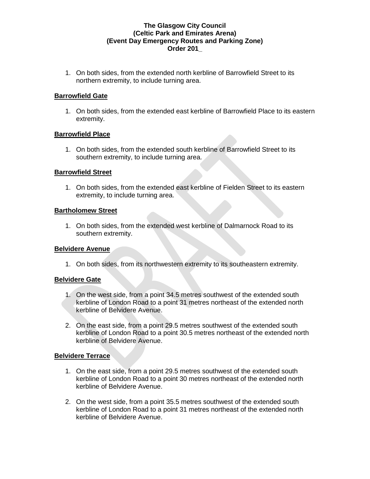1. On both sides, from the extended north kerbline of Barrowfield Street to its northern extremity, to include turning area.

### **Barrowfield Gate**

1. On both sides, from the extended east kerbline of Barrowfield Place to its eastern extremity.

### **Barrowfield Place**

1. On both sides, from the extended south kerbline of Barrowfield Street to its southern extremity, to include turning area.

### **Barrowfield Street**

1. On both sides, from the extended east kerbline of Fielden Street to its eastern extremity, to include turning area.

#### **Bartholomew Street**

1. On both sides, from the extended west kerbline of Dalmarnock Road to its southern extremity.

#### **Belvidere Avenue**

1. On both sides, from its northwestern extremity to its southeastern extremity.

## **Belvidere Gate**

- 1. On the west side, from a point 34.5 metres southwest of the extended south kerbline of London Road to a point 31 metres northeast of the extended north kerbline of Belvidere Avenue.
- 2. On the east side, from a point 29.5 metres southwest of the extended south kerbline of London Road to a point 30.5 metres northeast of the extended north kerbline of Belvidere Avenue.

#### **Belvidere Terrace**

- 1. On the east side, from a point 29.5 metres southwest of the extended south kerbline of London Road to a point 30 metres northeast of the extended north kerbline of Belvidere Avenue.
- 2. On the west side, from a point 35.5 metres southwest of the extended south kerbline of London Road to a point 31 metres northeast of the extended north kerbline of Belvidere Avenue.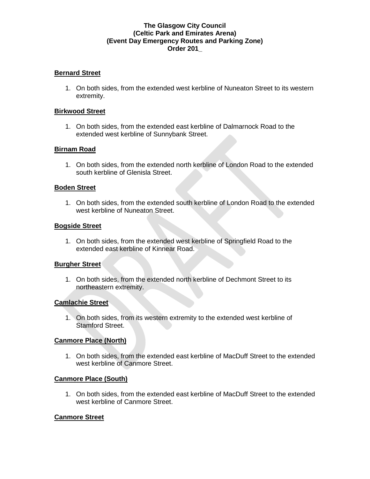### **Bernard Street**

1. On both sides, from the extended west kerbline of Nuneaton Street to its western extremity.

#### **Birkwood Street**

1. On both sides, from the extended east kerbline of Dalmarnock Road to the extended west kerbline of Sunnybank Street.

#### **Birnam Road**

1. On both sides, from the extended north kerbline of London Road to the extended south kerbline of Glenisla Street.

#### **Boden Street**

1. On both sides, from the extended south kerbline of London Road to the extended west kerbline of Nuneaton Street.

#### **Bogside Street**

1. On both sides, from the extended west kerbline of Springfield Road to the extended east kerbline of Kinnear Road.

#### **Burgher Street**

1. On both sides, from the extended north kerbline of Dechmont Street to its northeastern extremity.

#### **Camlachie Street**

1. On both sides, from its western extremity to the extended west kerbline of Stamford Street.

#### **Canmore Place (North)**

1. On both sides, from the extended east kerbline of MacDuff Street to the extended west kerbline of Canmore Street.

#### **Canmore Place (South)**

1. On both sides, from the extended east kerbline of MacDuff Street to the extended west kerbline of Canmore Street.

#### **Canmore Street**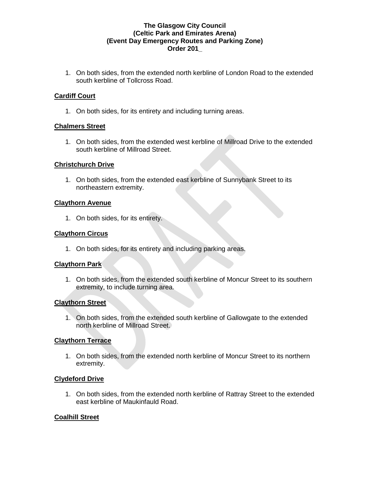1. On both sides, from the extended north kerbline of London Road to the extended south kerbline of Tollcross Road.

# **Cardiff Court**

1. On both sides, for its entirety and including turning areas.

## **Chalmers Street**

1. On both sides, from the extended west kerbline of Millroad Drive to the extended south kerbline of Millroad Street.

### **Christchurch Drive**

1. On both sides, from the extended east kerbline of Sunnybank Street to its northeastern extremity.

### **Claythorn Avenue**

1. On both sides, for its entirety.

### **Claythorn Circus**

1. On both sides, for its entirety and including parking areas.

## **Claythorn Park**

1. On both sides, from the extended south kerbline of Moncur Street to its southern extremity, to include turning area.

## **Claythorn Street**

1. On both sides, from the extended south kerbline of Gallowgate to the extended north kerbline of Millroad Street.

#### **Claythorn Terrace**

1. On both sides, from the extended north kerbline of Moncur Street to its northern extremity.

## **Clydeford Drive**

1. On both sides, from the extended north kerbline of Rattray Street to the extended east kerbline of Maukinfauld Road.

## **Coalhill Street**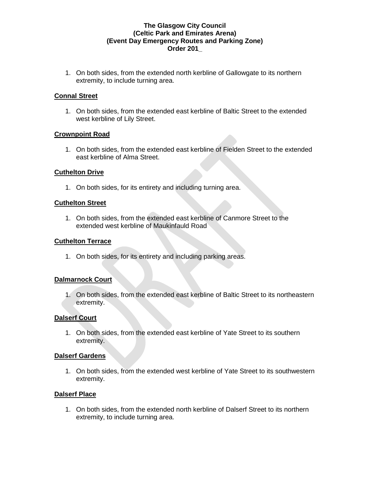1. On both sides, from the extended north kerbline of Gallowgate to its northern extremity, to include turning area.

## **Connal Street**

1. On both sides, from the extended east kerbline of Baltic Street to the extended west kerbline of Lily Street.

### **Crownpoint Road**

1. On both sides, from the extended east kerbline of Fielden Street to the extended east kerbline of Alma Street.

### **Cuthelton Drive**

1. On both sides, for its entirety and including turning area.

### **Cuthelton Street**

1. On both sides, from the extended east kerbline of Canmore Street to the extended west kerbline of Maukinfauld Road

#### **Cuthelton Terrace**

1. On both sides, for its entirety and including parking areas.

## **Dalmarnock Court**

1. On both sides, from the extended east kerbline of Baltic Street to its northeastern extremity.

## **Dalserf Court**

1. On both sides, from the extended east kerbline of Yate Street to its southern extremity.

#### **Dalserf Gardens**

1. On both sides, from the extended west kerbline of Yate Street to its southwestern extremity.

#### **Dalserf Place**

1. On both sides, from the extended north kerbline of Dalserf Street to its northern extremity, to include turning area.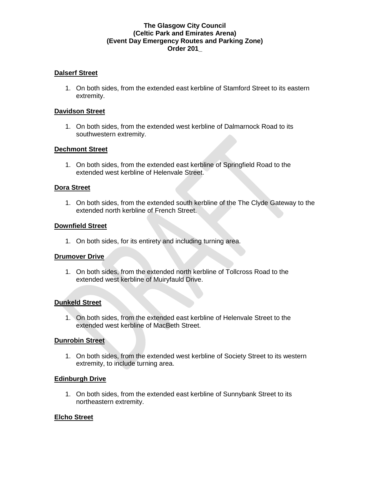### **Dalserf Street**

1. On both sides, from the extended east kerbline of Stamford Street to its eastern extremity.

#### **Davidson Street**

1. On both sides, from the extended west kerbline of Dalmarnock Road to its southwestern extremity.

### **Dechmont Street**

1. On both sides, from the extended east kerbline of Springfield Road to the extended west kerbline of Helenvale Street.

### **Dora Street**

1. On both sides, from the extended south kerbline of the The Clyde Gateway to the extended north kerbline of French Street.

#### **Downfield Street**

1. On both sides, for its entirety and including turning area.

#### **Drumover Drive**

1. On both sides, from the extended north kerbline of Tollcross Road to the extended west kerbline of Muiryfauld Drive.

## **Dunkeld Street**

1. On both sides, from the extended east kerbline of Helenvale Street to the extended west kerbline of MacBeth Street.

#### **Dunrobin Street**

1. On both sides, from the extended west kerbline of Society Street to its western extremity, to include turning area.

#### **Edinburgh Drive**

1. On both sides, from the extended east kerbline of Sunnybank Street to its northeastern extremity.

#### **Elcho Street**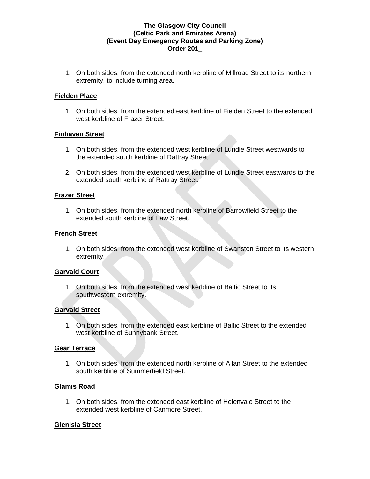1. On both sides, from the extended north kerbline of Millroad Street to its northern extremity, to include turning area.

### **Fielden Place**

1. On both sides, from the extended east kerbline of Fielden Street to the extended west kerbline of Frazer Street.

### **Finhaven Street**

- 1. On both sides, from the extended west kerbline of Lundie Street westwards to the extended south kerbline of Rattray Street.
- 2. On both sides, from the extended west kerbline of Lundie Street eastwards to the extended south kerbline of Rattray Street.

### **Frazer Street**

1. On both sides, from the extended north kerbline of Barrowfield Street to the extended south kerbline of Law Street.

### **French Street**

1. On both sides, from the extended west kerbline of Swanston Street to its western extremity.

## **Garvald Court**

1. On both sides, from the extended west kerbline of Baltic Street to its southwestern extremity.

#### **Garvald Street**

1. On both sides, from the extended east kerbline of Baltic Street to the extended west kerbline of Sunnybank Street.

## **Gear Terrace**

1. On both sides, from the extended north kerbline of Allan Street to the extended south kerbline of Summerfield Street.

#### **Glamis Road**

1. On both sides, from the extended east kerbline of Helenvale Street to the extended west kerbline of Canmore Street.

## **Glenisla Street**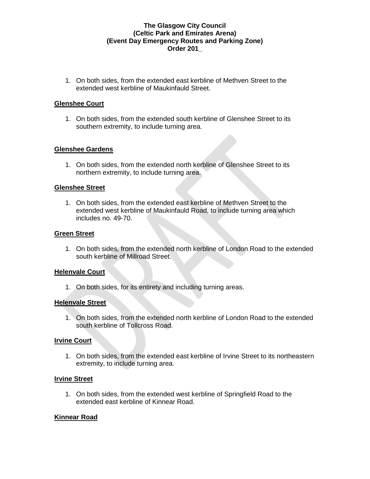1. On both sides, from the extended east kerbline of Methven Street to the extended west kerbline of Maukinfauld Street.

### **Glenshee Court**

1. On both sides, from the extended south kerbline of Glenshee Street to its southern extremity, to include turning area.

### **Glenshee Gardens**

1. On both sides, from the extended north kerbline of Glenshee Street to its northern extremity, to include turning area.

#### **Glenshee Street**

1. On both sides, from the extended east kerbline of Methven Street to the extended west kerbline of Maukinfauld Road, to include turning area which includes no. 49-70.

#### **Green Street**

1. On both sides, from the extended north kerbline of London Road to the extended south kerbline of Millroad Street.

#### **Helenvale Court**

1. On both sides, for its entirety and including turning areas.

#### **Helenvale Street**

1. On both sides, from the extended north kerbline of London Road to the extended south kerbline of Tollcross Road.

#### **Irvine Court**

1. On both sides, from the extended east kerbline of Irvine Street to its northeastern extremity, to include turning area.

#### **Irvine Street**

1. On both sides, from the extended west kerbline of Springfield Road to the extended east kerbline of Kinnear Road.

#### **Kinnear Road**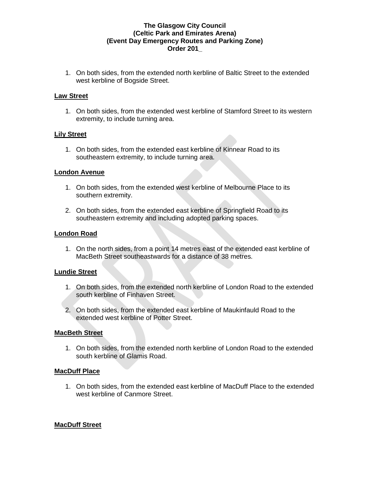1. On both sides, from the extended north kerbline of Baltic Street to the extended west kerbline of Bogside Street.

#### **Law Street**

1. On both sides, from the extended west kerbline of Stamford Street to its western extremity, to include turning area.

#### **Lily Street**

1. On both sides, from the extended east kerbline of Kinnear Road to its southeastern extremity, to include turning area.

### **London Avenue**

- 1. On both sides, from the extended west kerbline of Melbourne Place to its southern extremity.
- 2. On both sides, from the extended east kerbline of Springfield Road to its southeastern extremity and including adopted parking spaces.

### **London Road**

1. On the north sides, from a point 14 metres east of the extended east kerbline of MacBeth Street southeastwards for a distance of 38 metres.

#### **Lundie Street**

- 1. On both sides, from the extended north kerbline of London Road to the extended south kerbline of Finhaven Street.
- 2. On both sides, from the extended east kerbline of Maukinfauld Road to the extended west kerbline of Potter Street.

#### **MacBeth Street**

1. On both sides, from the extended north kerbline of London Road to the extended south kerbline of Glamis Road.

## **MacDuff Place**

1. On both sides, from the extended east kerbline of MacDuff Place to the extended west kerbline of Canmore Street.

## **MacDuff Street**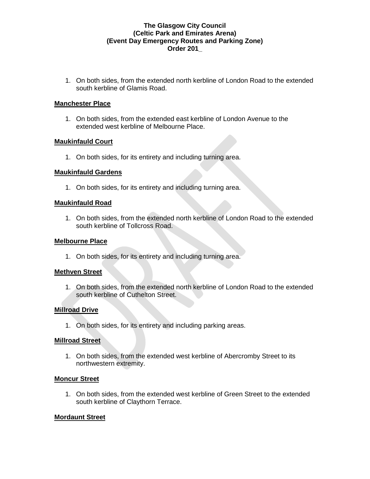1. On both sides, from the extended north kerbline of London Road to the extended south kerbline of Glamis Road.

#### **Manchester Place**

1. On both sides, from the extended east kerbline of London Avenue to the extended west kerbline of Melbourne Place.

### **Maukinfauld Court**

1. On both sides, for its entirety and including turning area.

### **Maukinfauld Gardens**

1. On both sides, for its entirety and including turning area.

### **Maukinfauld Road**

1. On both sides, from the extended north kerbline of London Road to the extended south kerbline of Tollcross Road.

#### **Melbourne Place**

1. On both sides, for its entirety and including turning area.

#### **Methven Street**

1. On both sides, from the extended north kerbline of London Road to the extended south kerbline of Cuthelton Street.

## **Millroad Drive**

1. On both sides, for its entirety and including parking areas.

#### **Millroad Street**

1. On both sides, from the extended west kerbline of Abercromby Street to its northwestern extremity.

#### **Moncur Street**

1. On both sides, from the extended west kerbline of Green Street to the extended south kerbline of Claythorn Terrace.

#### **Mordaunt Street**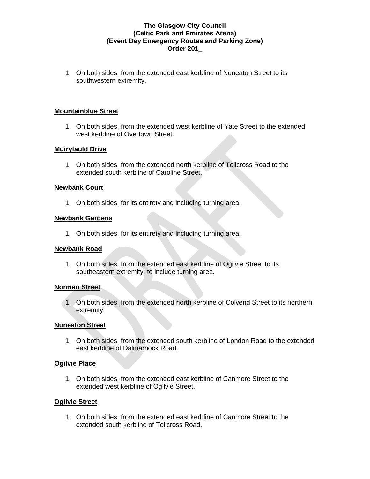1. On both sides, from the extended east kerbline of Nuneaton Street to its southwestern extremity.

### **Mountainblue Street**

1. On both sides, from the extended west kerbline of Yate Street to the extended west kerbline of Overtown Street.

### **Muiryfauld Drive**

1. On both sides, from the extended north kerbline of Tollcross Road to the extended south kerbline of Caroline Street.

#### **Newbank Court**

1. On both sides, for its entirety and including turning area.

#### **Newbank Gardens**

1. On both sides, for its entirety and including turning area.

#### **Newbank Road**

1. On both sides, from the extended east kerbline of Ogilvie Street to its southeastern extremity, to include turning area.

#### **Norman Street**

1. On both sides, from the extended north kerbline of Colvend Street to its northern extremity.

#### **Nuneaton Street**

1. On both sides, from the extended south kerbline of London Road to the extended east kerbline of Dalmarnock Road.

## **Ogilvie Place**

1. On both sides, from the extended east kerbline of Canmore Street to the extended west kerbline of Ogilvie Street.

#### **Ogilvie Street**

1. On both sides, from the extended east kerbline of Canmore Street to the extended south kerbline of Tollcross Road.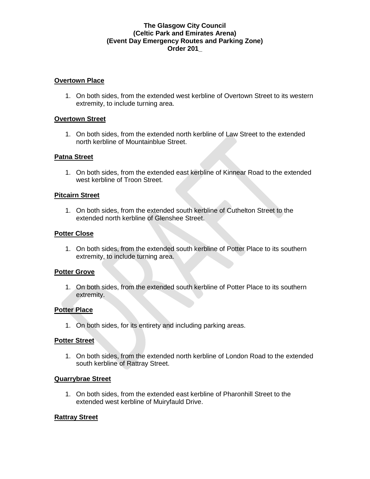#### **Overtown Place**

1. On both sides, from the extended west kerbline of Overtown Street to its western extremity, to include turning area.

### **Overtown Street**

1. On both sides, from the extended north kerbline of Law Street to the extended north kerbline of Mountainblue Street.

### **Patna Street**

1. On both sides, from the extended east kerbline of Kinnear Road to the extended west kerbline of Troon Street.

### **Pitcairn Street**

1. On both sides, from the extended south kerbline of Cuthelton Street to the extended north kerbline of Glenshee Street.

### **Potter Close**

1. On both sides, from the extended south kerbline of Potter Place to its southern extremity, to include turning area.

## **Potter Grove**

1. On both sides, from the extended south kerbline of Potter Place to its southern extremity.

## **Potter Place**

1. On both sides, for its entirety and including parking areas.

#### **Potter Street**

1. On both sides, from the extended north kerbline of London Road to the extended south kerbline of Rattray Street.

#### **Quarrybrae Street**

1. On both sides, from the extended east kerbline of Pharonhill Street to the extended west kerbline of Muiryfauld Drive.

## **Rattray Street**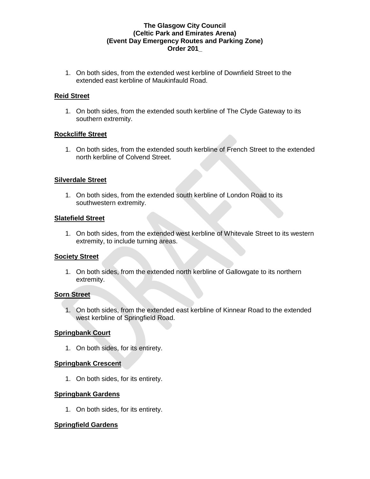1. On both sides, from the extended west kerbline of Downfield Street to the extended east kerbline of Maukinfauld Road.

## **Reid Street**

1. On both sides, from the extended south kerbline of The Clyde Gateway to its southern extremity.

#### **Rockcliffe Street**

1. On both sides, from the extended south kerbline of French Street to the extended north kerbline of Colvend Street.

### **Silverdale Street**

1. On both sides, from the extended south kerbline of London Road to its southwestern extremity.

### **Slatefield Street**

1. On both sides, from the extended west kerbline of Whitevale Street to its western extremity, to include turning areas.

## **Society Street**

1. On both sides, from the extended north kerbline of Gallowgate to its northern extremity.

#### **Sorn Street**

1. On both sides, from the extended east kerbline of Kinnear Road to the extended west kerbline of Springfield Road.

## **Springbank Court**

1. On both sides, for its entirety.

## **Springbank Crescent**

1. On both sides, for its entirety.

#### **Springbank Gardens**

1. On both sides, for its entirety.

## **Springfield Gardens**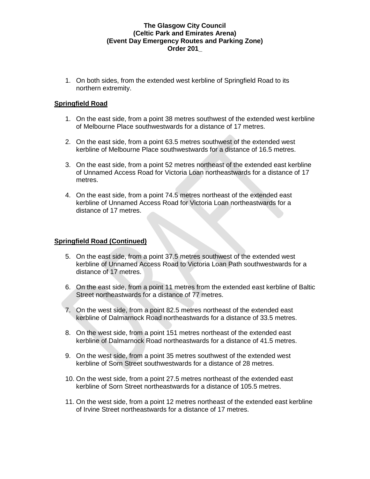1. On both sides, from the extended west kerbline of Springfield Road to its northern extremity.

## **Springfield Road**

- 1. On the east side, from a point 38 metres southwest of the extended west kerbline of Melbourne Place southwestwards for a distance of 17 metres.
- 2. On the east side, from a point 63.5 metres southwest of the extended west kerbline of Melbourne Place southwestwards for a distance of 16.5 metres.
- 3. On the east side, from a point 52 metres northeast of the extended east kerbline of Unnamed Access Road for Victoria Loan northeastwards for a distance of 17 metres.
- 4. On the east side, from a point 74.5 metres northeast of the extended east kerbline of Unnamed Access Road for Victoria Loan northeastwards for a distance of 17 metres.

## **Springfield Road (Continued)**

- 5. On the east side, from a point 37.5 metres southwest of the extended west kerbline of Unnamed Access Road to Victoria Loan Path southwestwards for a distance of 17 metres.
- 6. On the east side, from a point 11 metres from the extended east kerbline of Baltic Street northeastwards for a distance of 77 metres.
- 7. On the west side, from a point 82.5 metres northeast of the extended east kerbline of Dalmarnock Road northeastwards for a distance of 33.5 metres.
- 8. On the west side, from a point 151 metres northeast of the extended east kerbline of Dalmarnock Road northeastwards for a distance of 41.5 metres.
- 9. On the west side, from a point 35 metres southwest of the extended west kerbline of Sorn Street southwestwards for a distance of 28 metres.
- 10. On the west side, from a point 27.5 metres northeast of the extended east kerbline of Sorn Street northeastwards for a distance of 105.5 metres.
- 11. On the west side, from a point 12 metres northeast of the extended east kerbline of Irvine Street northeastwards for a distance of 17 metres.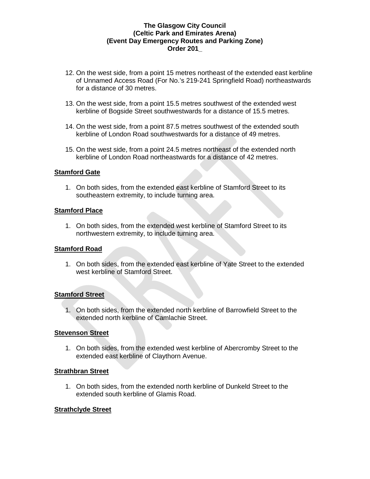- 12. On the west side, from a point 15 metres northeast of the extended east kerbline of Unnamed Access Road (For No.'s 219-241 Springfield Road) northeastwards for a distance of 30 metres.
- 13. On the west side, from a point 15.5 metres southwest of the extended west kerbline of Bogside Street southwestwards for a distance of 15.5 metres.
- 14. On the west side, from a point 87.5 metres southwest of the extended south kerbline of London Road southwestwards for a distance of 49 metres.
- 15. On the west side, from a point 24.5 metres northeast of the extended north kerbline of London Road northeastwards for a distance of 42 metres.

### **Stamford Gate**

1. On both sides, from the extended east kerbline of Stamford Street to its southeastern extremity, to include turning area.

#### **Stamford Place**

1. On both sides, from the extended west kerbline of Stamford Street to its northwestern extremity, to include turning area.

## **Stamford Road**

1. On both sides, from the extended east kerbline of Yate Street to the extended west kerbline of Stamford Street.

#### **Stamford Street**

1. On both sides, from the extended north kerbline of Barrowfield Street to the extended north kerbline of Camlachie Street.

## **Stevenson Street**

1. On both sides, from the extended west kerbline of Abercromby Street to the extended east kerbline of Claythorn Avenue.

#### **Strathbran Street**

1. On both sides, from the extended north kerbline of Dunkeld Street to the extended south kerbline of Glamis Road.

#### **Strathclyde Street**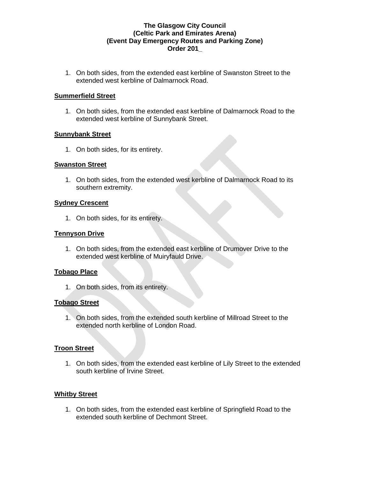1. On both sides, from the extended east kerbline of Swanston Street to the extended west kerbline of Dalmarnock Road.

### **Summerfield Street**

1. On both sides, from the extended east kerbline of Dalmarnock Road to the extended west kerbline of Sunnybank Street.

### **Sunnybank Street**

1. On both sides, for its entirety.

### **Swanston Street**

1. On both sides, from the extended west kerbline of Dalmarnock Road to its southern extremity.

### **Sydney Crescent**

1. On both sides, for its entirety.

### **Tennyson Drive**

1. On both sides, from the extended east kerbline of Drumover Drive to the extended west kerbline of Muiryfauld Drive.

## **Tobago Place**

1. On both sides, from its entirety.

#### **Tobago Street**

1. On both sides, from the extended south kerbline of Millroad Street to the extended north kerbline of London Road.

## **Troon Street**

1. On both sides, from the extended east kerbline of Lily Street to the extended south kerbline of Irvine Street.

## **Whitby Street**

1. On both sides, from the extended east kerbline of Springfield Road to the extended south kerbline of Dechmont Street.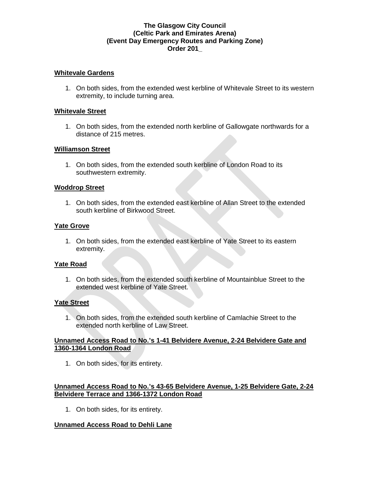#### **Whitevale Gardens**

1. On both sides, from the extended west kerbline of Whitevale Street to its western extremity, to include turning area.

#### **Whitevale Street**

1. On both sides, from the extended north kerbline of Gallowgate northwards for a distance of 215 metres.

### **Williamson Street**

1. On both sides, from the extended south kerbline of London Road to its southwestern extremity.

### **Woddrop Street**

1. On both sides, from the extended east kerbline of Allan Street to the extended south kerbline of Birkwood Street.

### **Yate Grove**

1. On both sides, from the extended east kerbline of Yate Street to its eastern extremity.

#### **Yate Road**

1. On both sides, from the extended south kerbline of Mountainblue Street to the extended west kerbline of Yate Street.

## **Yate Street**

1. On both sides, from the extended south kerbline of Camlachie Street to the extended north kerbline of Law Street.

### **Unnamed Access Road to No.'s 1-41 Belvidere Avenue, 2-24 Belvidere Gate and 1360-1364 London Road**

1. On both sides, for its entirety.

## **Unnamed Access Road to No.'s 43-65 Belvidere Avenue, 1-25 Belvidere Gate, 2-24 Belvidere Terrace and 1366-1372 London Road**

1. On both sides, for its entirety.

## **Unnamed Access Road to Dehli Lane**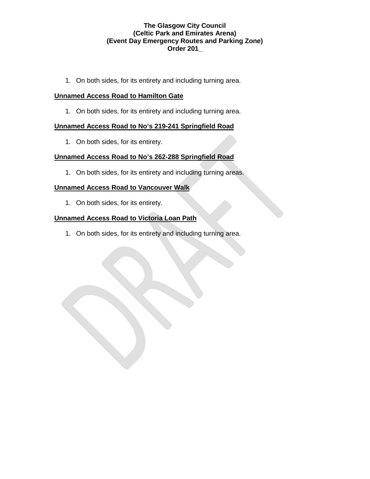1. On both sides, for its entirety and including turning area.

## **Unnamed Access Road to Hamilton Gate**

1. On both sides, for its entirety and including turning area.

## **Unnamed Access Road to No's 219-241 Springfield Road**

1. On both sides, for its entirety.

## **Unnamed Access Road to No's 262-288 Springfield Road**

1. On both sides, for its entirety and including turning areas.

## **Unnamed Access Road to Vancouver Walk**

1. On both sides, for its entirety.

## **Unnamed Access Road to Victoria Loan Path**

1. On both sides, for its entirety and including turning area.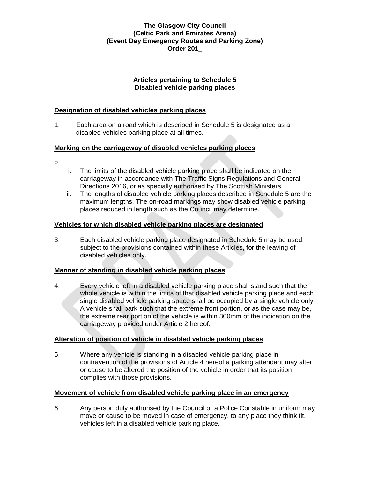## **Articles pertaining to Schedule 5 Disabled vehicle parking places**

## **Designation of disabled vehicles parking places**

1. Each area on a road which is described in Schedule 5 is designated as a disabled vehicles parking place at all times.

## **Marking on the carriageway of disabled vehicles parking places**

- 2.
- i. The limits of the disabled vehicle parking place shall be indicated on the carriageway in accordance with The Traffic Signs Regulations and General Directions 2016, or as specially authorised by The Scottish Ministers.
- ii. The lengths of disabled vehicle parking places described in Schedule 5 are the maximum lengths. The on-road markings may show disabled vehicle parking places reduced in length such as the Council may determine.

## **Vehicles for which disabled vehicle parking places are designated**

3. Each disabled vehicle parking place designated in Schedule 5 may be used, subject to the provisions contained within these Articles, for the leaving of disabled vehicles only.

## **Manner of standing in disabled vehicle parking places**

4. Every vehicle left in a disabled vehicle parking place shall stand such that the whole vehicle is within the limits of that disabled vehicle parking place and each single disabled vehicle parking space shall be occupied by a single vehicle only. A vehicle shall park such that the extreme front portion, or as the case may be, the extreme rear portion of the vehicle is within 300mm of the indication on the carriageway provided under Article 2 hereof.

## **Alteration of position of vehicle in disabled vehicle parking places**

5. Where any vehicle is standing in a disabled vehicle parking place in contravention of the provisions of Article 4 hereof a parking attendant may alter or cause to be altered the position of the vehicle in order that its position complies with those provisions.

## **Movement of vehicle from disabled vehicle parking place in an emergency**

6. Any person duly authorised by the Council or a Police Constable in uniform may move or cause to be moved in case of emergency, to any place they think fit, vehicles left in a disabled vehicle parking place.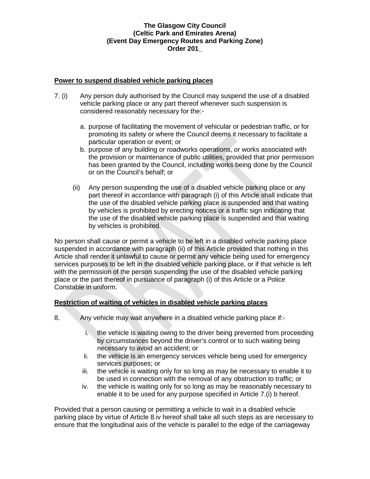## **Power to suspend disabled vehicle parking places**

- 7. (i) Any person duly authorised by the Council may suspend the use of a disabled vehicle parking place or any part thereof whenever such suspension is considered reasonably necessary for the:
	- a. purpose of facilitating the movement of vehicular or pedestrian traffic, or for promoting its safety or where the Council deems it necessary to facilitate a particular operation or event; or
	- b. purpose of any building or roadworks operations, or works associated with the provision or maintenance of public utilities, provided that prior permission has been granted by the Council, including works being done by the Council or on the Council's behalf; or
	- (ii) Any person suspending the use of a disabled vehicle parking place or any part thereof in accordance with paragraph (i) of this Article shall indicate that the use of the disabled vehicle parking place is suspended and that waiting by vehicles is prohibited by erecting notices or a traffic sign indicating that the use of the disabled vehicle parking place is suspended and that waiting by vehicles is prohibited.

No person shall cause or permit a vehicle to be left in a disabled vehicle parking place suspended in accordance with paragraph (ii) of this Article provided that nothing in this Article shall render it unlawful to cause or permit any vehicle being used for emergency services purposes to be left in the disabled vehicle parking place, or if that vehicle is left with the permission of the person suspending the use of the disabled vehicle parking place or the part thereof in pursuance of paragraph (i) of this Article or a Police Constable in uniform.

## **Restriction of waiting of vehicles in disabled vehicle parking places**

- 8. Any vehicle may wait anywhere in a disabled vehicle parking place if:
	- i. the vehicle is waiting owing to the driver being prevented from proceeding by circumstances beyond the driver's control or to such waiting being necessary to avoid an accident; or
	- ii. the vehicle is an emergency services vehicle being used for emergency services purposes; or
	- iii. the vehicle is waiting only for so long as may be necessary to enable it to be used in connection with the removal of any obstruction to traffic; or
	- iv. the vehicle is waiting only for so long as may be reasonably necessary to enable it to be used for any purpose specified in Article 7.(i) b hereof.

Provided that a person causing or permitting a vehicle to wait in a disabled vehicle parking place by virtue of Article 8.iv hereof shall take all such steps as are necessary to ensure that the longitudinal axis of the vehicle is parallel to the edge of the carriageway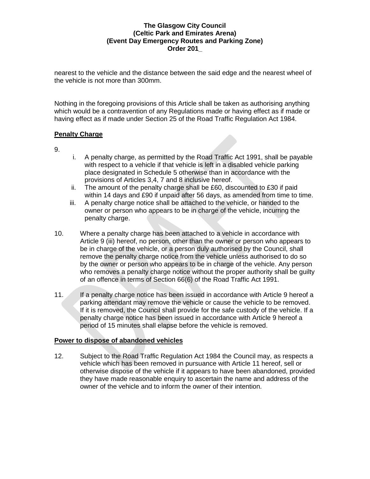nearest to the vehicle and the distance between the said edge and the nearest wheel of the vehicle is not more than 300mm.

Nothing in the foregoing provisions of this Article shall be taken as authorising anything which would be a contravention of any Regulations made or having effect as if made or having effect as if made under Section 25 of the Road Traffic Regulation Act 1984.

## **Penalty Charge**

9.

- i. A penalty charge, as permitted by the Road Traffic Act 1991, shall be payable with respect to a vehicle if that vehicle is left in a disabled vehicle parking place designated in Schedule 5 otherwise than in accordance with the provisions of Articles 3,4, 7 and 8 inclusive hereof.
- ii. The amount of the penalty charge shall be £60, discounted to £30 if paid within 14 days and £90 if unpaid after 56 days, as amended from time to time.
- iii. A penalty charge notice shall be attached to the vehicle, or handed to the owner or person who appears to be in charge of the vehicle, incurring the penalty charge.
- 10. Where a penalty charge has been attached to a vehicle in accordance with Article 9 (iii) hereof, no person, other than the owner or person who appears to be in charge of the vehicle, or a person duly authorised by the Council, shall remove the penalty charge notice from the vehicle unless authorised to do so by the owner or person who appears to be in charge of the vehicle. Any person who removes a penalty charge notice without the proper authority shall be guilty of an offence in terms of Section 66(6) of the Road Traffic Act 1991.
- 11. If a penalty charge notice has been issued in accordance with Article 9 hereof a parking attendant may remove the vehicle or cause the vehicle to be removed. If it is removed, the Council shall provide for the safe custody of the vehicle. If a penalty charge notice has been issued in accordance with Article 9 hereof a period of 15 minutes shall elapse before the vehicle is removed.

## **Power to dispose of abandoned vehicles**

12. Subject to the Road Traffic Regulation Act 1984 the Council may, as respects a vehicle which has been removed in pursuance with Article 11 hereof, sell or otherwise dispose of the vehicle if it appears to have been abandoned, provided they have made reasonable enquiry to ascertain the name and address of the owner of the vehicle and to inform the owner of their intention.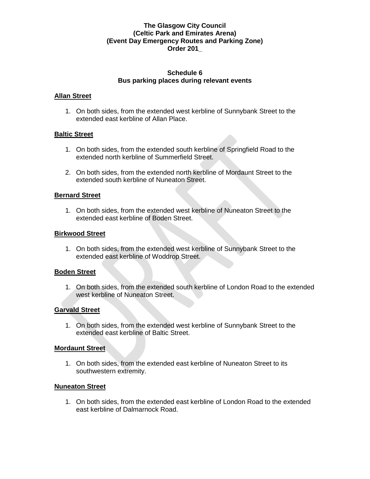#### **Schedule 6 Bus parking places during relevant events**

#### **Allan Street**

1. On both sides, from the extended west kerbline of Sunnybank Street to the extended east kerbline of Allan Place.

### **Baltic Street**

- 1. On both sides, from the extended south kerbline of Springfield Road to the extended north kerbline of Summerfield Street.
- 2. On both sides, from the extended north kerbline of Mordaunt Street to the extended south kerbline of Nuneaton Street.

#### **Bernard Street**

1. On both sides, from the extended west kerbline of Nuneaton Street to the extended east kerbline of Boden Street.

#### **Birkwood Street**

1. On both sides, from the extended west kerbline of Sunnybank Street to the extended east kerbline of Woddrop Street.

#### **Boden Street**

1. On both sides, from the extended south kerbline of London Road to the extended west kerbline of Nuneaton Street.

#### **Garvald Street**

1. On both sides, from the extended west kerbline of Sunnybank Street to the extended east kerbline of Baltic Street.

#### **Mordaunt Street**

1. On both sides, from the extended east kerbline of Nuneaton Street to its southwestern extremity.

#### **Nuneaton Street**

1. On both sides, from the extended east kerbline of London Road to the extended east kerbline of Dalmarnock Road.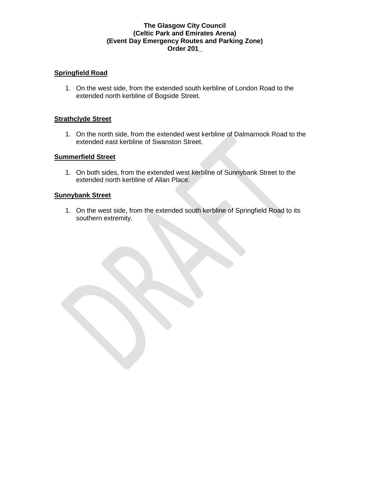## **Springfield Road**

1. On the west side, from the extended south kerbline of London Road to the extended north kerbline of Bogside Street.

#### **Strathclyde Street**

1. On the north side, from the extended west kerbline of Dalmarnock Road to the extended east kerbline of Swanston Street.

### **Summerfield Street**

1. On both sides, from the extended west kerbline of Sunnybank Street to the extended north kerbline of Allan Place.

#### **Sunnybank Street**

1. On the west side, from the extended south kerbline of Springfield Road to its southern extremity.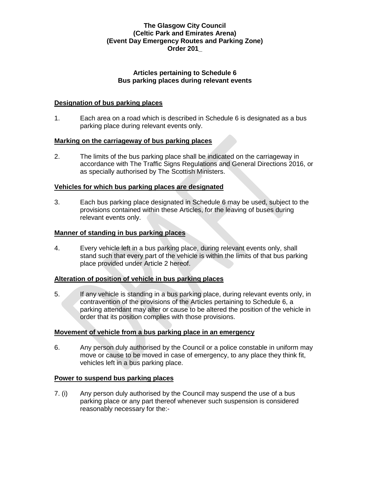## **Articles pertaining to Schedule 6 Bus parking places during relevant events**

### **Designation of bus parking places**

1. Each area on a road which is described in Schedule 6 is designated as a bus parking place during relevant events only.

### **Marking on the carriageway of bus parking places**

2. The limits of the bus parking place shall be indicated on the carriageway in accordance with The Traffic Signs Regulations and General Directions 2016, or as specially authorised by The Scottish Ministers.

### **Vehicles for which bus parking places are designated**

3. Each bus parking place designated in Schedule 6 may be used, subject to the provisions contained within these Articles, for the leaving of buses during relevant events only.

### **Manner of standing in bus parking places**

4. Every vehicle left in a bus parking place, during relevant events only, shall stand such that every part of the vehicle is within the limits of that bus parking place provided under Article 2 hereof.

## **Alteration of position of vehicle in bus parking places**

5. If any vehicle is standing in a bus parking place, during relevant events only, in contravention of the provisions of the Articles pertaining to Schedule 6, a parking attendant may alter or cause to be altered the position of the vehicle in order that its position complies with those provisions.

#### **Movement of vehicle from a bus parking place in an emergency**

6. Any person duly authorised by the Council or a police constable in uniform may move or cause to be moved in case of emergency, to any place they think fit, vehicles left in a bus parking place.

#### **Power to suspend bus parking places**

7. (i) Any person duly authorised by the Council may suspend the use of a bus parking place or any part thereof whenever such suspension is considered reasonably necessary for the:-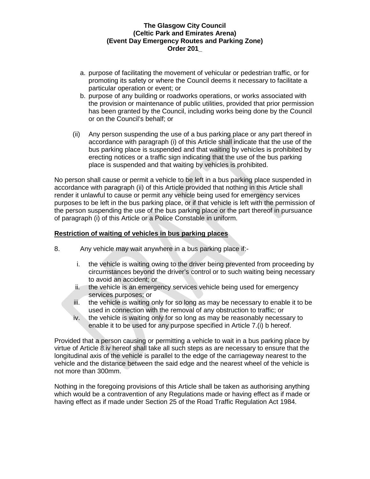- a. purpose of facilitating the movement of vehicular or pedestrian traffic, or for promoting its safety or where the Council deems it necessary to facilitate a particular operation or event; or
- b. purpose of any building or roadworks operations, or works associated with the provision or maintenance of public utilities, provided that prior permission has been granted by the Council, including works being done by the Council or on the Council's behalf; or
- (ii) Any person suspending the use of a bus parking place or any part thereof in accordance with paragraph (i) of this Article shall indicate that the use of the bus parking place is suspended and that waiting by vehicles is prohibited by erecting notices or a traffic sign indicating that the use of the bus parking place is suspended and that waiting by vehicles is prohibited.

No person shall cause or permit a vehicle to be left in a bus parking place suspended in accordance with paragraph (ii) of this Article provided that nothing in this Article shall render it unlawful to cause or permit any vehicle being used for emergency services purposes to be left in the bus parking place, or if that vehicle is left with the permission of the person suspending the use of the bus parking place or the part thereof in pursuance of paragraph (i) of this Article or a Police Constable in uniform.

### **Restriction of waiting of vehicles in bus parking places**

- 8. Any vehicle may wait anywhere in a bus parking place if:
	- i. the vehicle is waiting owing to the driver being prevented from proceeding by circumstances beyond the driver's control or to such waiting being necessary to avoid an accident; or
	- ii. the vehicle is an emergency services vehicle being used for emergency services purposes; or
	- iii. the vehicle is waiting only for so long as may be necessary to enable it to be used in connection with the removal of any obstruction to traffic; or
	- iv. the vehicle is waiting only for so long as may be reasonably necessary to enable it to be used for any purpose specified in Article 7.(i) b hereof.

Provided that a person causing or permitting a vehicle to wait in a bus parking place by virtue of Article 8.iv hereof shall take all such steps as are necessary to ensure that the longitudinal axis of the vehicle is parallel to the edge of the carriageway nearest to the vehicle and the distance between the said edge and the nearest wheel of the vehicle is not more than 300mm.

Nothing in the foregoing provisions of this Article shall be taken as authorising anything which would be a contravention of any Regulations made or having effect as if made or having effect as if made under Section 25 of the Road Traffic Regulation Act 1984.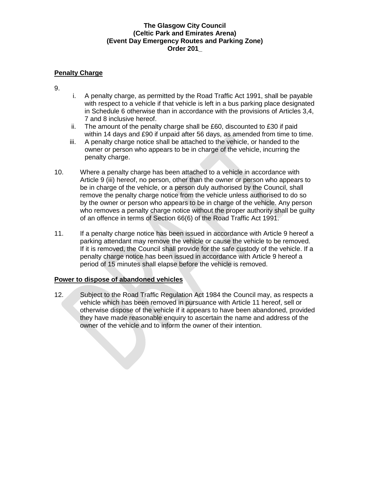## **Penalty Charge**

- 9.
- i. A penalty charge, as permitted by the Road Traffic Act 1991, shall be payable with respect to a vehicle if that vehicle is left in a bus parking place designated in Schedule 6 otherwise than in accordance with the provisions of Articles 3,4, 7 and 8 inclusive hereof.
- ii. The amount of the penalty charge shall be £60, discounted to £30 if paid within 14 days and £90 if unpaid after 56 days, as amended from time to time.
- iii. A penalty charge notice shall be attached to the vehicle, or handed to the owner or person who appears to be in charge of the vehicle, incurring the penalty charge.
- 10. Where a penalty charge has been attached to a vehicle in accordance with Article 9 (iii) hereof, no person, other than the owner or person who appears to be in charge of the vehicle, or a person duly authorised by the Council, shall remove the penalty charge notice from the vehicle unless authorised to do so by the owner or person who appears to be in charge of the vehicle. Any person who removes a penalty charge notice without the proper authority shall be guilty of an offence in terms of Section 66(6) of the Road Traffic Act 1991.
- 11. If a penalty charge notice has been issued in accordance with Article 9 hereof a parking attendant may remove the vehicle or cause the vehicle to be removed. If it is removed, the Council shall provide for the safe custody of the vehicle. If a penalty charge notice has been issued in accordance with Article 9 hereof a period of 15 minutes shall elapse before the vehicle is removed.

## **Power to dispose of abandoned vehicles**

12. Subject to the Road Traffic Regulation Act 1984 the Council may, as respects a vehicle which has been removed in pursuance with Article 11 hereof, sell or otherwise dispose of the vehicle if it appears to have been abandoned, provided they have made reasonable enquiry to ascertain the name and address of the owner of the vehicle and to inform the owner of their intention.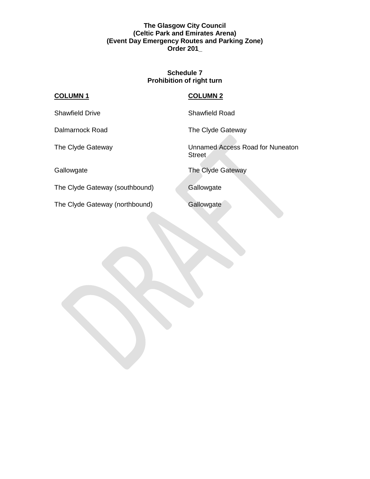### **Schedule 7 Prohibition of right turn**

## **COLUMN 1 COLUMN 2**

Shawfield Drive Shawfield Road

Dalmarnock Road The Clyde Gateway

The Clyde Gateway Unnamed Access Road for Nuneaton **Street** 

Gallowgate **The Clyde Gateway** 

The Clyde Gateway (southbound) Gallowgate

The Clyde Gateway (northbound) Gallowgate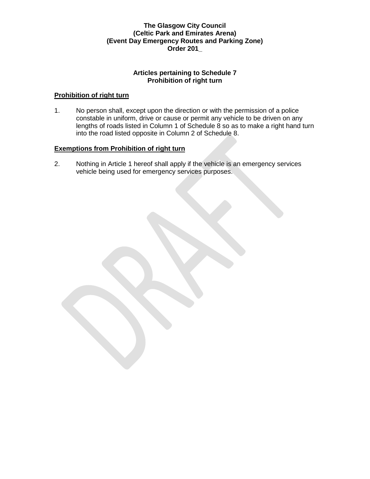## **Articles pertaining to Schedule 7 Prohibition of right turn**

## **Prohibition of right turn**

1. No person shall, except upon the direction or with the permission of a police constable in uniform, drive or cause or permit any vehicle to be driven on any lengths of roads listed in Column 1 of Schedule 8 so as to make a right hand turn into the road listed opposite in Column 2 of Schedule 8.

## **Exemptions from Prohibition of right turn**

2. Nothing in Article 1 hereof shall apply if the vehicle is an emergency services vehicle being used for emergency services purposes.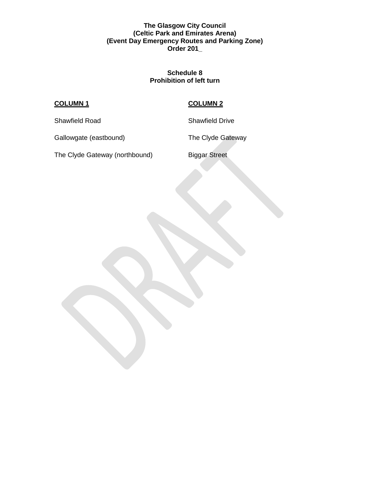### **Schedule 8 Prohibition of left turn**

# **COLUMN 1 COLUMN 2**

Shawfield Road Shawfield Drive

Gallowgate (eastbound) The Clyde Gateway

The Clyde Gateway (northbound) Biggar Street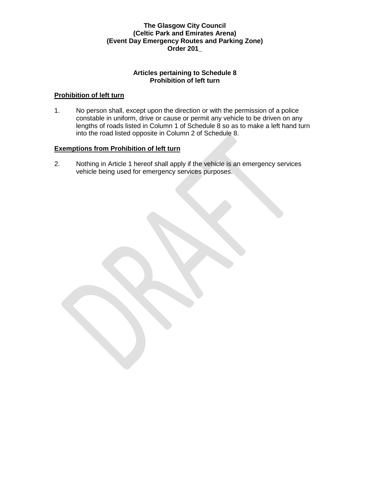## **Articles pertaining to Schedule 8 Prohibition of left turn**

## **Prohibition of left turn**

1. No person shall, except upon the direction or with the permission of a police constable in uniform, drive or cause or permit any vehicle to be driven on any lengths of roads listed in Column 1 of Schedule 8 so as to make a left hand turn into the road listed opposite in Column 2 of Schedule 8.

## **Exemptions from Prohibition of left turn**

2. Nothing in Article 1 hereof shall apply if the vehicle is an emergency services vehicle being used for emergency services purposes.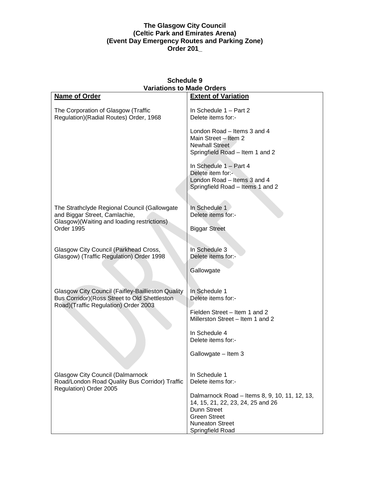| <b>Schedule 9</b><br><b>Variations to Made Orders</b>                                                                                      |                                                                                                                                                                        |
|--------------------------------------------------------------------------------------------------------------------------------------------|------------------------------------------------------------------------------------------------------------------------------------------------------------------------|
| Name of Order                                                                                                                              | <b>Extent of Variation</b>                                                                                                                                             |
| The Corporation of Glasgow (Traffic<br>Regulation)(Radial Routes) Order, 1968                                                              | In Schedule 1 - Part 2<br>Delete items for:-                                                                                                                           |
|                                                                                                                                            | London Road – Items 3 and 4<br>Main Street - Item 2<br><b>Newhall Street</b><br>Springfield Road - Item 1 and 2                                                        |
|                                                                                                                                            | In Schedule 1 - Part 4<br>Delete item for:-<br>London Road - Items 3 and 4<br>Springfield Road - Items 1 and 2                                                         |
| The Strathclyde Regional Council (Gallowgate<br>and Biggar Street, Camlachie,<br>Glasgow)(Waiting and loading restrictions)<br>Order 1995  | In Schedule 1<br>Delete items for:-                                                                                                                                    |
|                                                                                                                                            | <b>Biggar Street</b>                                                                                                                                                   |
| Glasgow City Council (Parkhead Cross,<br>Glasgow) (Traffic Regulation) Order 1998                                                          | In Schedule 3<br>Delete items for:-                                                                                                                                    |
|                                                                                                                                            | Gallowgate                                                                                                                                                             |
| Glasgow City Council (Faifley-Baillieston Quality<br>Bus Corridor) (Ross Street to Old Shettleston<br>Road)(Traffic Regulation) Order 2003 | In Schedule 1<br>Delete items for:-                                                                                                                                    |
|                                                                                                                                            | Fielden Street - Item 1 and 2<br>Millerston Street - Item 1 and 2                                                                                                      |
|                                                                                                                                            | In Schedule 4<br>Delete items for:-                                                                                                                                    |
|                                                                                                                                            | Gallowgate - Item 3                                                                                                                                                    |
| <b>Glasgow City Council (Dalmarnock</b><br>Road/London Road Quality Bus Corridor) Traffic                                                  | In Schedule 1<br>Delete items for:-                                                                                                                                    |
| Regulation) Order 2005                                                                                                                     | Dalmarnock Road - Items 8, 9, 10, 11, 12, 13,<br>14, 15, 21, 22, 23, 24, 25 and 26<br>Dunn Street<br><b>Green Street</b><br><b>Nuneaton Street</b><br>Springfield Road |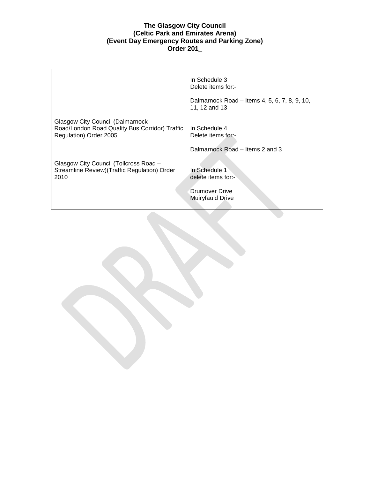|                                                                                                                     | In Schedule 3<br>Delete items for:-                                       |
|---------------------------------------------------------------------------------------------------------------------|---------------------------------------------------------------------------|
|                                                                                                                     | Dalmarnock Road – Items 4, 5, 6, 7, 8, 9, 10,<br>11, 12 and 13            |
| <b>Glasgow City Council (Dalmarnock</b><br>Road/London Road Quality Bus Corridor) Traffic<br>Regulation) Order 2005 | In Schedule 4<br>Delete items for:-                                       |
|                                                                                                                     | Dalmarnock Road – Items 2 and 3                                           |
| Glasgow City Council (Tollcross Road -<br>Streamline Review) (Traffic Regulation) Order<br>2010                     | In Schedule 1<br>delete items for:-<br>Drumover Drive<br>Muiryfauld Drive |